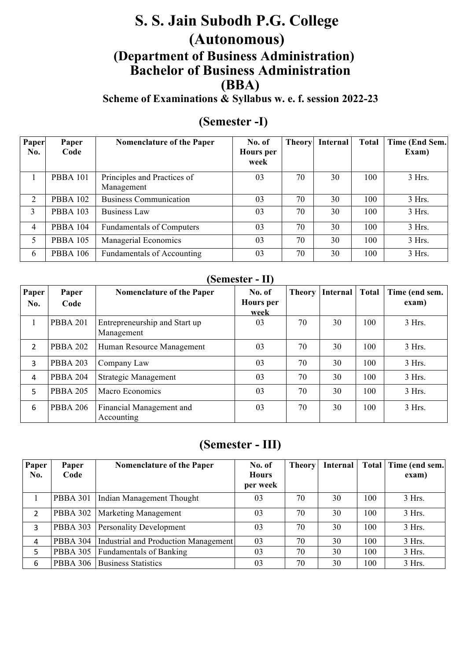# **S. S. Jain Subodh P.G. College (Autonomous) (Department of Business Administration) Bachelor of Business Administration (BBA)**

**Scheme of Examinations & Syllabus w. e. f. session 2022-23**

# **(Semester -I)**

| Paper<br>No.   | Paper<br>Code   | Nomenclature of the Paper                 | No. of<br><b>Hours</b> per<br>week | Theory | Internal | <b>Total</b> | Time (End Sem.<br>Exam) |
|----------------|-----------------|-------------------------------------------|------------------------------------|--------|----------|--------------|-------------------------|
|                | <b>PBBA 101</b> | Principles and Practices of<br>Management | 03                                 | 70     | 30       | 100          | 3 Hrs.                  |
| 2              | <b>PBBA 102</b> | <b>Business Communication</b>             | 03                                 | 70     | 30       | 100          | 3 Hrs.                  |
| 3              | <b>PBBA 103</b> | Business Law                              | 03                                 | 70     | 30       | 100          | 3 Hrs.                  |
| $\overline{4}$ | <b>PBBA 104</b> | <b>Fundamentals of Computers</b>          | 03                                 | 70     | 30       | 100          | 3 Hrs.                  |
| 5              | <b>PBBA 105</b> | Managerial Economics                      | 03                                 | 70     | 30       | 100          | 3 Hrs.                  |
| 6              | <b>PBBA 106</b> | <b>Fundamentals of Accounting</b>         | 03                                 | 70     | 30       | 100          | 3 Hrs.                  |

## **(Semester - II)**

| Paper<br>No.   | Paper<br>Code   | <b>Nomenclature of the Paper</b>            | No. of<br><b>Hours</b> per<br>week | <b>Theory</b> | <b>Internal</b> | <b>Total</b> | Time (end sem.<br>exam) |
|----------------|-----------------|---------------------------------------------|------------------------------------|---------------|-----------------|--------------|-------------------------|
|                | <b>PBBA 201</b> | Entrepreneurship and Start up<br>Management | 03                                 | 70            | 30              | 100          | 3 Hrs.                  |
| $\overline{2}$ | <b>PBBA 202</b> | Human Resource Management                   | 03                                 | 70            | 30              | 100          | $3$ Hrs.                |
| 3              | <b>PBBA 203</b> | Company Law                                 | 03                                 | 70            | 30              | 100          | 3 Hrs.                  |
| 4              | <b>PBBA 204</b> | <b>Strategic Management</b>                 | 03                                 | 70            | 30              | 100          | $3$ Hrs.                |
| 5              | <b>PBBA 205</b> | Macro Economics                             | 03                                 | 70            | 30              | 100          | 3 Hrs.                  |
| 6              | <b>PBBA 206</b> | Financial Management and<br>Accounting      | 03                                 | 70            | 30              | 100          | 3 Hrs.                  |

# **(Semester - III)**

| Paper          | Paper           | <b>Nomenclature of the Paper</b>     | No. of       | <b>Theory</b> | Internal |     | Total   Time (end sem. |
|----------------|-----------------|--------------------------------------|--------------|---------------|----------|-----|------------------------|
| No.            | Code            |                                      | <b>Hours</b> |               |          |     | exam)                  |
|                |                 |                                      | per week     |               |          |     |                        |
|                | <b>PBBA 301</b> | Indian Management Thought            | 03           | 70            | 30       | 100 | $3$ Hrs.               |
| $\overline{2}$ | PBBA 302        | <b>Marketing Management</b>          | 03           | 70            | 30       | 100 | 3 Hrs.                 |
| 3              | PBBA 303        | <b>Personality Development</b>       | 03           | 70            | 30       | 100 | 3 Hrs.                 |
| 4              | <b>PBBA 304</b> | Industrial and Production Management | 03           | 70            | 30       | 100 | 3 Hrs.                 |
| 5              | <b>PBBA 305</b> | <b>Fundamentals of Banking</b>       | 03           | 70            | 30       | 100 | 3 Hrs.                 |
| 6              | <b>PBBA 306</b> | <b>Business Statistics</b>           | 03           | 70            | 30       | 100 | 3 Hrs.                 |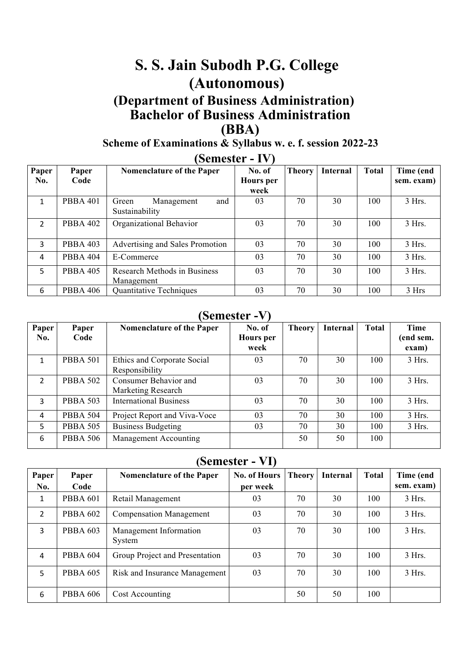# **S. S. Jain Subodh P.G. College (Autonomous)**

# **(Department of Business Administration) Bachelor of Business Administration (BBA)**

# **Scheme of Examinations & Syllabus w. e. f. session 2022-23**

| Paper          | Paper           | <b>Nomenclature of the Paper</b> | No. of    | <b>Theory</b> | <b>Internal</b> | <b>Total</b> | Time (end  |
|----------------|-----------------|----------------------------------|-----------|---------------|-----------------|--------------|------------|
| No.            | Code            |                                  | Hours per |               |                 |              | sem. exam) |
|                |                 |                                  | week      |               |                 |              |            |
| 1              | <b>PBBA 401</b> | and<br>Management<br>Green       | 03        | 70            | 30              | 100          | 3 Hrs.     |
|                |                 | Sustainability                   |           |               |                 |              |            |
| $\overline{2}$ | <b>PBBA 402</b> | Organizational Behavior          | 03        | 70            | 30              | 100          | 3 Hrs.     |
|                |                 |                                  |           |               |                 |              |            |
| 3              | <b>PBBA 403</b> | Advertising and Sales Promotion  | 03        | 70            | 30              | 100          | 3 Hrs.     |
| 4              | <b>PBBA 404</b> | E-Commerce                       | 03        | 70            | 30              | 100          | 3 Hrs.     |
| 5              | <b>PBBA 405</b> | Research Methods in Business     | 03        | 70            | 30              | 100          | 3 Hrs.     |
|                |                 | Management                       |           |               |                 |              |            |
| 6              | <b>PBBA 406</b> | <b>Quantitative Techniques</b>   | 03        | 70            | 30              | 100          | 3 Hrs      |

# **(Semester - IV)**

# **(Semester -V)**

| Paper<br>No.   | Paper<br>Code   | Nomenclature of the Paper                     | No. of<br><b>Hours</b> per<br>week | <b>Theory</b> | Internal | <b>Total</b> | <b>Time</b><br>(end sem.<br>exam) |
|----------------|-----------------|-----------------------------------------------|------------------------------------|---------------|----------|--------------|-----------------------------------|
| 1              | <b>PBBA 501</b> | Ethics and Corporate Social<br>Responsibility | 03                                 | 70            | 30       | 100          | 3 Hrs.                            |
| $\overline{2}$ | <b>PBBA 502</b> | Consumer Behavior and<br>Marketing Research   | 03                                 | 70            | 30       | 100          | 3 Hrs.                            |
| 3              | <b>PBBA 503</b> | <b>International Business</b>                 | 03                                 | 70            | 30       | 100          | 3 Hrs.                            |
| 4              | <b>PBBA 504</b> | Project Report and Viva-Voce                  | 03                                 | 70            | 30       | 100          | 3 Hrs.                            |
| 5              | <b>PBBA 505</b> | <b>Business Budgeting</b>                     | 03                                 | 70            | 30       | 100          | 3 Hrs.                            |
| 6              | <b>PBBA 506</b> | Management Accounting                         |                                    | 50            | 50       | 100          |                                   |

# **(Semester - VI)**

| Paper          | Paper           | <b>Nomenclature of the Paper</b> | <b>No. of Hours</b> | <b>Theory</b> | <b>Internal</b> | <b>Total</b> | Time (end  |
|----------------|-----------------|----------------------------------|---------------------|---------------|-----------------|--------------|------------|
| No.            | Code            |                                  | per week            |               |                 |              | sem. exam) |
| 1              | <b>PBBA 601</b> | Retail Management                | 03                  | 70            | 30              | 100          | 3 Hrs.     |
| $\overline{2}$ | <b>PBBA 602</b> | <b>Compensation Management</b>   | 03                  | 70            | 30              | 100          | 3 Hrs.     |
| 3              | <b>PBBA 603</b> | Management Information<br>System | 03                  | 70            | 30              | 100          | 3 Hrs.     |
| 4              | <b>PBBA 604</b> | Group Project and Presentation   | 03                  | 70            | 30              | 100          | 3 Hrs.     |
| 5              | <b>PBBA 605</b> | Risk and Insurance Management    | 03                  | 70            | 30              | 100          | 3 Hrs.     |
| 6              | <b>PBBA 606</b> | Cost Accounting                  |                     | 50            | 50              | 100          |            |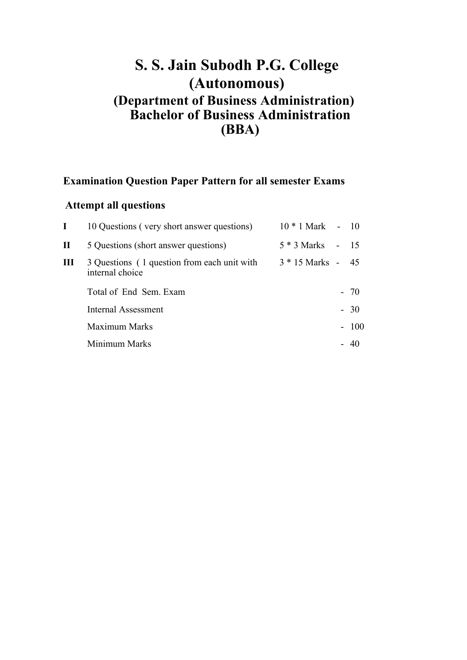# **S. S. Jain Subodh P.G. College (Autonomous) (Department of Business Administration) Bachelor of Business Administration (BBA)**

# **Examination Question Paper Pattern for all semester Exams**

# **Attempt all questions**

|   | 10 Questions (very short answer questions)                     | $10 * 1$ Mark - $10$ |        |
|---|----------------------------------------------------------------|----------------------|--------|
| П | 5 Questions (short answer questions)                           | 5 * 3 Marks          | $-15$  |
| Ш | 3 Questions (1 question from each unit with<br>internal choice | $3 * 15$ Marks -     | - 45   |
|   | Total of End Sem. Exam                                         |                      | $-70$  |
|   | Internal Assessment                                            |                      | $-30$  |
|   | Maximum Marks                                                  |                      | $-100$ |
|   | Minimum Marks                                                  |                      |        |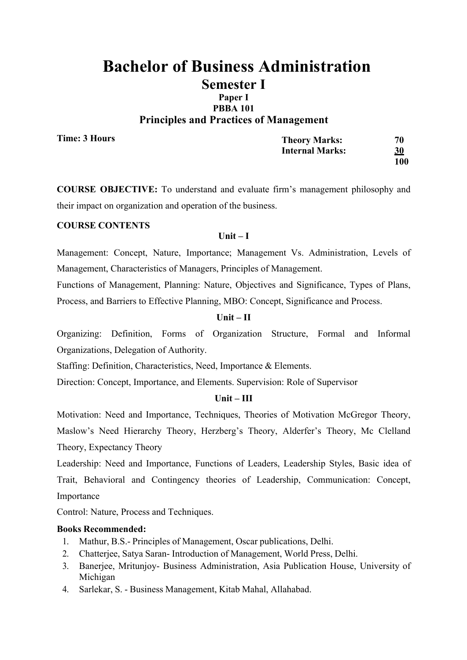# **Principles and Practices of Management**

**Time: 3 Hours**

| <b>Theory Marks:</b>   | 70         |
|------------------------|------------|
| <b>Internal Marks:</b> | <u>30</u>  |
|                        | <b>100</b> |

**COURSE OBJECTIVE:** To understand and evaluate firm's management philosophy and their impact on organization and operation of the business.

### **COURSE CONTENTS**

### **Unit – I**

Management: Concept, Nature, Importance; Management Vs. Administration, Levels of Management, Characteristics of Managers, Principles of Management.

Functions of Management, Planning: Nature, Objectives and Significance, Types of Plans, Process, and Barriers to Effective Planning, MBO: Concept, Significance and Process.

### **Unit – II**

Organizing: Definition, Forms of Organization Structure, Formal and Informal Organizations, Delegation of Authority.

Staffing: Definition, Characteristics, Need, Importance & Elements.

Direction: Concept, Importance, and Elements. Supervision: Role of Supervisor

### **Unit – III**

Motivation: Need and Importance, Techniques, Theories of Motivation McGregor Theory, Maslow's Need Hierarchy Theory, Herzberg's Theory, Alderfer's Theory, Mc Clelland Theory, Expectancy Theory

Leadership: Need and Importance, Functions of Leaders, Leadership Styles, Basic idea of Trait, Behavioral and Contingency theories of Leadership, Communication: Concept, Importance

Control: Nature, Process and Techniques.

- 1. Mathur, B.S.- Principles of Management, Oscar publications, Delhi.
- 2. Chatterjee, Satya Saran- Introduction of Management, World Press, Delhi.
- 3. Banerjee, Mritunjoy- Business Administration, Asia Publication House, University of Michigan
- 4. Sarlekar, S. Business Management, Kitab Mahal, Allahabad.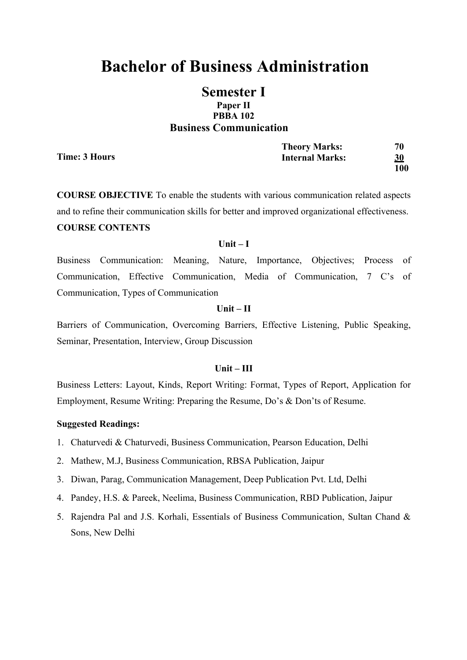# **Bachelor of Business Administration**

# **Semester I Paper II PBBA 102 Business Communication**

**Time: 3 Hours**

| <b>Theory Marks:</b>   | 70        |
|------------------------|-----------|
| <b>Internal Marks:</b> | <u>30</u> |
|                        | 100       |

**COURSE OBJECTIVE** To enable the students with various communication related aspects and to refine their communication skills for better and improved organizational effectiveness. **COURSE CONTENTS**

#### **Unit – I**

Business Communication: Meaning, Nature, Importance, Objectives; Process of Communication, Effective Communication, Media of Communication, 7 C's of Communication, Types of Communication

### **Unit – II**

Barriers of Communication, Overcoming Barriers, Effective Listening, Public Speaking, Seminar, Presentation, Interview, Group Discussion

### **Unit – III**

Business Letters: Layout, Kinds, Report Writing: Format, Types of Report, Application for Employment, Resume Writing: Preparing the Resume, Do's & Don'ts of Resume.

- 1. Chaturvedi & Chaturvedi, Business Communication, Pearson Education, Delhi
- 2. Mathew, M.J, Business Communication, RBSA Publication, Jaipur
- 3. Diwan, Parag, Communication Management, Deep Publication Pvt. Ltd, Delhi
- 4. Pandey, H.S. & Pareek, Neelima, Business Communication, RBD Publication, Jaipur
- 5. Rajendra Pal and J.S. Korhali, Essentials of Business Communication, Sultan Chand & Sons, New Delhi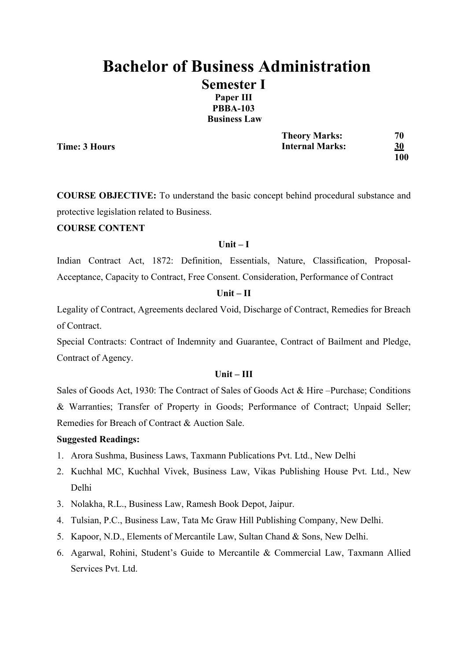# **Bachelor of Business Administration Semester I Paper III PBBA-103 Business Law**

**Time: 3 Hours**

**Theory Marks: 70 Internal Marks: 30 100**

**COURSE OBJECTIVE:** To understand the basic concept behind procedural substance and protective legislation related to Business.

# **COURSE CONTENT**

### **Unit – I**

Indian Contract Act, 1872: Definition, Essentials, Nature, Classification, Proposal-Acceptance, Capacity to Contract, Free Consent. Consideration, Performance of Contract

### **Unit – II**

Legality of Contract, Agreements declared Void, Discharge of Contract, Remedies for Breach of Contract.

Special Contracts: Contract of Indemnity and Guarantee, Contract of Bailment and Pledge, Contract of Agency.

### **Unit – III**

Sales of Goods Act, 1930: The Contract of Sales of Goods Act & Hire –Purchase; Conditions & Warranties; Transfer of Property in Goods; Performance of Contract; Unpaid Seller; Remedies for Breach of Contract & Auction Sale.

- 1. Arora Sushma, Business Laws, Taxmann Publications Pvt. Ltd., New Delhi
- 2. Kuchhal MC, Kuchhal Vivek, Business Law, Vikas Publishing House Pvt. Ltd., New Delhi
- 3. Nolakha, R.L., Business Law, Ramesh Book Depot, Jaipur.
- 4. Tulsian, P.C., Business Law, Tata Mc Graw Hill Publishing Company, New Delhi.
- 5. Kapoor, N.D., Elements of Mercantile Law, Sultan Chand & Sons, New Delhi.
- 6. Agarwal, Rohini, Student's Guide to Mercantile & Commercial Law, Taxmann Allied Services Pvt. Ltd.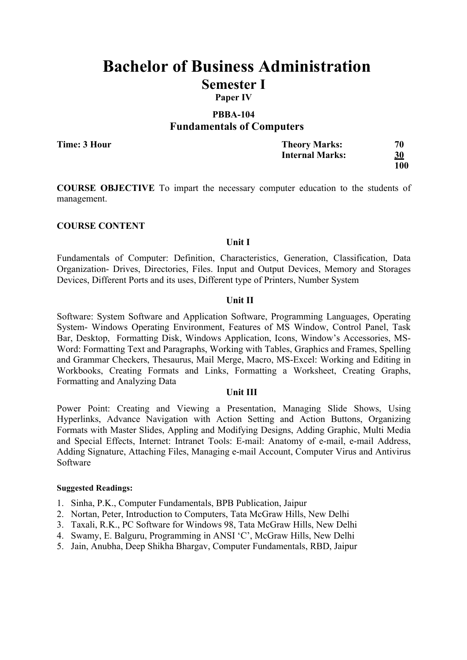**Paper IV**

## **PBBA-104 Fundamentals of Computers**

**Time: 3 Hour**

| <b>Theory Marks:</b>   | 70        |
|------------------------|-----------|
| <b>Internal Marks:</b> | <u>30</u> |
|                        | 100       |

**COURSE OBJECTIVE** To impart the necessary computer education to the students of management.

### **COURSE CONTENT**

### **Unit I**

Fundamentals of Computer: Definition, Characteristics, Generation, Classification, Data Organization- Drives, Directories, Files. Input and Output Devices, Memory and Storages Devices, Different Ports and its uses, Different type of Printers, Number System

### **Unit II**

Software: System Software and Application Software, Programming Languages, Operating System- Windows Operating Environment, Features of MS Window, Control Panel, Task Bar, Desktop, Formatting Disk, Windows Application, Icons, Window's Accessories, MS-Word: Formatting Text and Paragraphs, Working with Tables, Graphics and Frames, Spelling and Grammar Checkers, Thesaurus, Mail Merge, Macro, MS-Excel: Working and Editing in Workbooks, Creating Formats and Links, Formatting a Worksheet, Creating Graphs, Formatting and Analyzing Data

### **Unit III**

Power Point: Creating and Viewing a Presentation, Managing Slide Shows, Using Hyperlinks, Advance Navigation with Action Setting and Action Buttons, Organizing Formats with Master Slides, Appling and Modifying Designs, Adding Graphic, Multi Media and Special Effects, Internet: Intranet Tools: E-mail: Anatomy of e-mail, e-mail Address, Adding Signature, Attaching Files, Managing e-mail Account, Computer Virus and Antivirus Software

- 1. Sinha, P.K., Computer Fundamentals, BPB Publication, Jaipur
- 2. Nortan, Peter, Introduction to Computers, Tata McGraw Hills, New Delhi
- 3. Taxali, R.K., PC Software for Windows 98, Tata McGraw Hills, New Delhi
- 4. Swamy, E. Balguru, Programming in ANSI 'C', McGraw Hills, New Delhi
- 5. Jain, Anubha, Deep Shikha Bhargav, Computer Fundamentals, RBD, Jaipur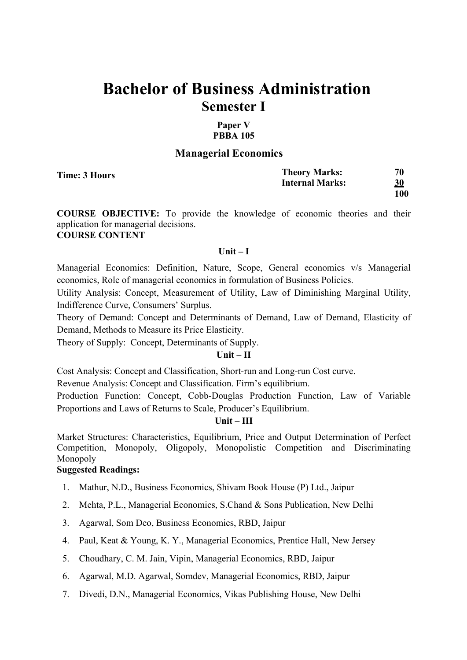## **Paper V PBBA 105**

### **Managerial Economics**

**Time: 3 Hours**

| <b>Theory Marks:</b>   | 70         |
|------------------------|------------|
| <b>Internal Marks:</b> | <u>30</u>  |
|                        | <b>100</b> |

**COURSE OBJECTIVE:** To provide the knowledge of economic theories and their application for managerial decisions. **COURSE CONTENT**

### **Unit – I**

Managerial Economics: Definition, Nature, Scope, General economics v/s Managerial economics, Role of managerial economics in formulation of Business Policies.

Utility Analysis: Concept, Measurement of Utility, Law of Diminishing Marginal Utility, Indifference Curve, Consumers' Surplus.

Theory of Demand: Concept and Determinants of Demand, Law of Demand, Elasticity of Demand, Methods to Measure its Price Elasticity.

Theory of Supply: Concept, Determinants of Supply.

### **Unit – II**

Cost Analysis: Concept and Classification, Short-run and Long-run Cost curve.

Revenue Analysis: Concept and Classification. Firm's equilibrium.

Production Function: Concept, Cobb-Douglas Production Function, Law of Variable Proportions and Laws of Returns to Scale, Producer's Equilibrium.

### **Unit – III**

Market Structures: Characteristics, Equilibrium, Price and Output Determination of Perfect Competition, Monopoly, Oligopoly, Monopolistic Competition and Discriminating Monopoly

- 1. Mathur, N.D., Business Economics, Shivam Book House (P) Ltd., Jaipur
- 2. Mehta, P.L., Managerial Economics, S.Chand & Sons Publication, New Delhi
- 3. Agarwal, Som Deo, Business Economics, RBD, Jaipur
- 4. Paul, Keat & Young, K. Y., Managerial Economics, Prentice Hall, New Jersey
- 5. Choudhary, C. M. Jain, Vipin, Managerial Economics, RBD, Jaipur
- 6. Agarwal, M.D. Agarwal, Somdev, Managerial Economics, RBD, Jaipur
- 7. Divedi, D.N., Managerial Economics, Vikas Publishing House, New Delhi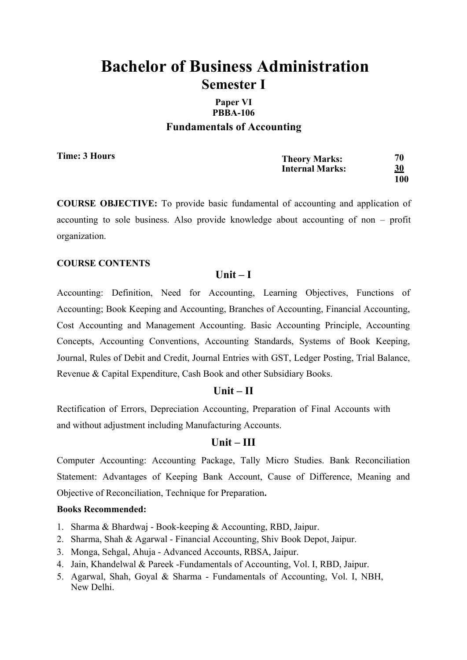# **Paper VI PBBA-106 Fundamentals of Accounting**

**Time: 3 Hours**

| <b>Theory Marks:</b>   | 70        |
|------------------------|-----------|
| <b>Internal Marks:</b> | <u>30</u> |
|                        | 100       |

**COURSE OBJECTIVE:** To provide basic fundamental of accounting and application of accounting to sole business. Also provide knowledge about accounting of non – profit organization.

## **COURSE CONTENTS**

## **Unit – I**

Accounting: Definition, Need for Accounting, Learning Objectives, Functions of Accounting; Book Keeping and Accounting, Branches of Accounting, Financial Accounting, Cost Accounting and Management Accounting. Basic Accounting Principle, Accounting Concepts, Accounting Conventions, Accounting Standards, Systems of Book Keeping, Journal, Rules of Debit and Credit, Journal Entries with GST, Ledger Posting, Trial Balance, Revenue & Capital Expenditure, Cash Book and other Subsidiary Books.

## **Unit – II**

Rectification of Errors, Depreciation Accounting, Preparation of Final Accounts with and without adjustment including Manufacturing Accounts.

## **Unit – III**

Computer Accounting: Accounting Package, Tally Micro Studies. Bank Reconciliation Statement: Advantages of Keeping Bank Account, Cause of Difference, Meaning and Objective of Reconciliation, Technique for Preparation**.** 

- 1. Sharma & Bhardwaj Book-keeping & Accounting, RBD, Jaipur.
- 2. Sharma, Shah & Agarwal Financial Accounting, Shiv Book Depot, Jaipur.
- 3. Monga, Sehgal, Ahuja Advanced Accounts, RBSA, Jaipur.
- 4. Jain, Khandelwal & Pareek -Fundamentals of Accounting, Vol. I, RBD, Jaipur.
- 5. Agarwal, Shah, Goyal & Sharma Fundamentals of Accounting, Vol. I, NBH, New Delhi.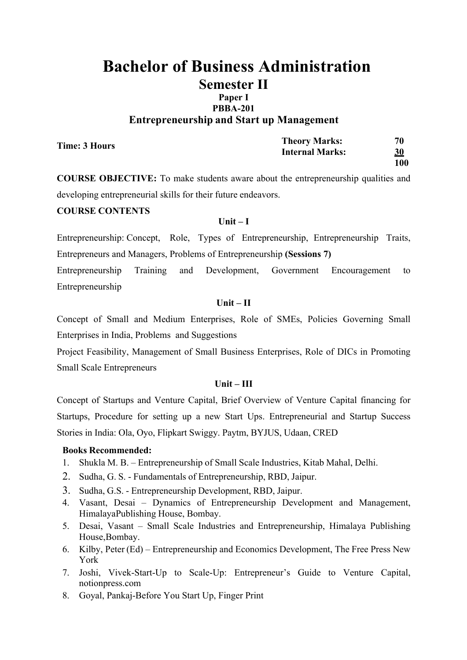# **Paper I PBBA-201 Entrepreneurship and Start up Management**

| <b>Time: 3 Hours</b> | <b>Theory Marks:</b>   | 70        |
|----------------------|------------------------|-----------|
|                      | <b>Internal Marks:</b> | <u>30</u> |
|                      |                        | 100       |

**COURSE OBJECTIVE:** To make students aware about the entrepreneurship qualities and developing entrepreneurial skills for their future endeavors.

# **COURSE CONTENTS**

### **Unit – I**

Entrepreneurship: Concept, Role, Types of Entrepreneurship, Entrepreneurship Traits, Entrepreneurs and Managers, Problems of Entrepreneurship **(Sessions 7)**

Entrepreneurship Training and Development, Government Encouragement to Entrepreneurship

### **Unit – II**

Concept of Small and Medium Enterprises, Role of SMEs, Policies Governing Small Enterprises in India, Problems and Suggestions

Project Feasibility, Management of Small Business Enterprises, Role of DICs in Promoting Small Scale Entrepreneurs

## **Unit – III**

Concept of Startups and Venture Capital, Brief Overview of Venture Capital financing for Startups, Procedure for setting up a new Start Ups. Entrepreneurial and Startup Success Stories in India: Ola, Oyo, Flipkart Swiggy. Paytm, BYJUS, Udaan, CRED

- 1. Shukla M. B. Entrepreneurship of Small Scale Industries, Kitab Mahal, Delhi.
- 2. Sudha, G. S. Fundamentals of Entrepreneurship, RBD, Jaipur.
- 3. Sudha, G.S. Entrepreneurship Development, RBD, Jaipur.
- 4. Vasant, Desai Dynamics of Entrepreneurship Development and Management, HimalayaPublishing House, Bombay.
- 5. Desai, Vasant Small Scale Industries and Entrepreneurship, Himalaya Publishing House,Bombay.
- 6. Kilby, Peter (Ed) Entrepreneurship and Economics Development, The Free Press New York
- 7. Joshi, Vivek-Start-Up to Scale-Up: Entrepreneur's Guide to Venture Capital, notionpress.com
- 8. Goyal, Pankaj-Before You Start Up, Finger Print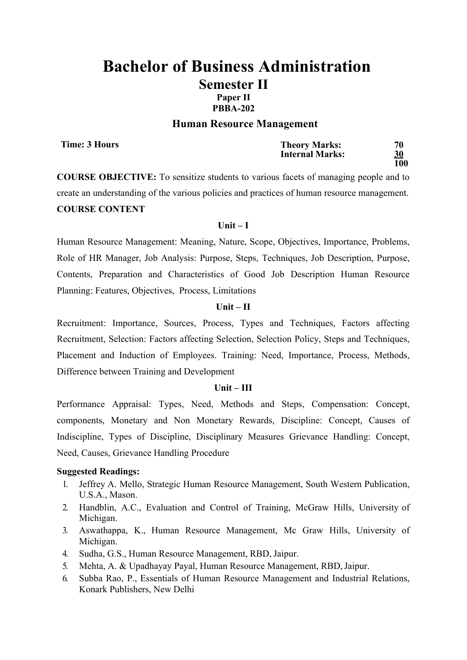# **PBBA-202**

#### **Human Resource Management**

**Time: 3 Hours**

| <b>Theory Marks:</b>   | 70         |
|------------------------|------------|
| <b>Internal Marks:</b> | 30         |
|                        | <b>100</b> |

**COURSE OBJECTIVE:** To sensitize students to various facets of managing people and to create an understanding of the various policies and practices of human resource management. **COURSE CONTENT**

#### **Unit – I**

Human Resource Management: Meaning, Nature, Scope, Objectives, Importance, Problems, Role of HR Manager, Job Analysis: Purpose, Steps, Techniques, Job Description, Purpose, Contents, Preparation and Characteristics of Good Job Description Human Resource Planning: Features, Objectives, Process, Limitations

### **Unit – II**

Recruitment: Importance, Sources, Process, Types and Techniques, Factors affecting Recruitment, Selection: Factors affecting Selection, Selection Policy, Steps and Techniques, Placement and Induction of Employees. Training: Need, Importance, Process, Methods, Difference between Training and Development

#### **Unit – III**

Performance Appraisal: Types, Need, Methods and Steps, Compensation: Concept, components, Monetary and Non Monetary Rewards, Discipline: Concept, Causes of Indiscipline, Types of Discipline, Disciplinary Measures Grievance Handling: Concept, Need, Causes, Grievance Handling Procedure

- 1. Jeffrey A. Mello, Strategic Human Resource Management, South Western Publication, U.S.A., Mason.
- 2. Handblin, A.C., Evaluation and Control of Training, McGraw Hills, University of Michigan.
- 3. Aswathappa, K., Human Resource Management, Mc Graw Hills, University of Michigan.
- 4. Sudha, G.S., Human Resource Management, RBD,Jaipur.
- 5. Mehta, A. & Upadhayay Payal, Human Resource Management, RBD,Jaipur.
- 6. Subba Rao, P., Essentials of Human Resource Management and Industrial Relations, Konark Publishers, New Delhi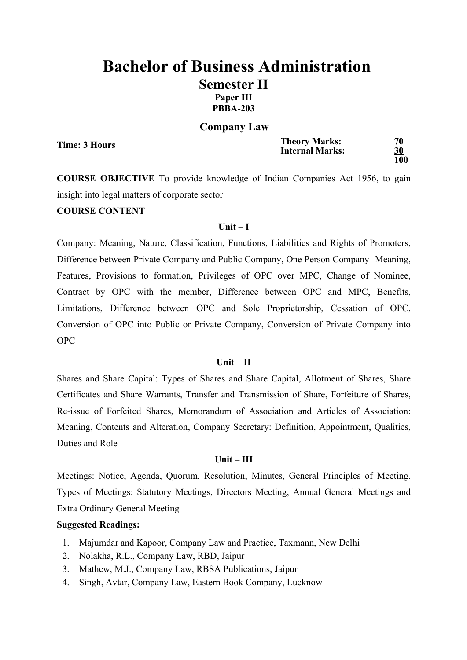# **Bachelor of Business Administration Semester II Paper III PBBA-203**

### **Company Law**

**Time: 3 Hours**

| <b>Theory Marks:</b>   | 70        |
|------------------------|-----------|
| <b>Internal Marks:</b> | <b>30</b> |
|                        | 100       |

**COURSE OBJECTIVE** To provide knowledge of Indian Companies Act 1956, to gain insight into legal matters of corporate sector

## **COURSE CONTENT**

### **Unit – I**

Company: Meaning, Nature, Classification, Functions, Liabilities and Rights of Promoters, Difference between Private Company and Public Company, One Person Company- Meaning, Features, Provisions to formation, Privileges of OPC over MPC, Change of Nominee, Contract by OPC with the member, Difference between OPC and MPC, Benefits, Limitations, Difference between OPC and Sole Proprietorship, Cessation of OPC, Conversion of OPC into Public or Private Company, Conversion of Private Company into OPC

### **Unit – II**

Shares and Share Capital: Types of Shares and Share Capital, Allotment of Shares, Share Certificates and Share Warrants, Transfer and Transmission of Share, Forfeiture of Shares, Re-issue of Forfeited Shares, Memorandum of Association and Articles of Association: Meaning, Contents and Alteration, Company Secretary: Definition, Appointment, Qualities, Duties and Role

#### **Unit – III**

Meetings: Notice, Agenda, Quorum, Resolution, Minutes, General Principles of Meeting. Types of Meetings: Statutory Meetings, Directors Meeting, Annual General Meetings and Extra Ordinary General Meeting

- 1. Majumdar and Kapoor, Company Law and Practice, Taxmann, New Delhi
- 2. Nolakha, R.L., Company Law, RBD, Jaipur
- 3. Mathew, M.J., Company Law, RBSA Publications, Jaipur
- 4. Singh, Avtar, Company Law, Eastern Book Company, Lucknow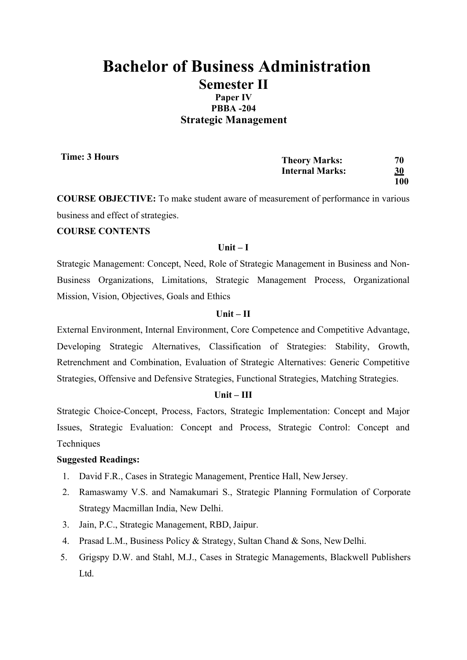# **PBBA -204 Strategic Management**

**Time: 3 Hours**

| <b>Theory Marks:</b>   | 70  |
|------------------------|-----|
| <b>Internal Marks:</b> | 30  |
|                        | 100 |

**COURSE OBJECTIVE:** To make student aware of measurement of performance in various business and effect of strategies.

### **COURSE CONTENTS**

### **Unit – I**

Strategic Management: Concept, Need, Role of Strategic Management in Business and Non-Business Organizations, Limitations, Strategic Management Process, Organizational Mission, Vision, Objectives, Goals and Ethics

### **Unit – II**

External Environment, Internal Environment, Core Competence and Competitive Advantage, Developing Strategic Alternatives, Classification of Strategies: Stability, Growth, Retrenchment and Combination, Evaluation of Strategic Alternatives: Generic Competitive Strategies, Offensive and Defensive Strategies, Functional Strategies, Matching Strategies.

### **Unit – III**

Strategic Choice-Concept, Process, Factors, Strategic Implementation: Concept and Major Issues, Strategic Evaluation: Concept and Process, Strategic Control: Concept and **Techniques** 

- 1. David F.R., Cases in Strategic Management, Prentice Hall, NewJersey.
- 2. Ramaswamy V.S. and Namakumari S., Strategic Planning Formulation of Corporate Strategy Macmillan India, New Delhi.
- 3. Jain, P.C., Strategic Management, RBD, Jaipur.
- 4. Prasad L.M., Business Policy & Strategy, Sultan Chand & Sons, New Delhi.
- 5. Grigspy D.W. and Stahl, M.J., Cases in Strategic Managements, Blackwell Publishers Ltd.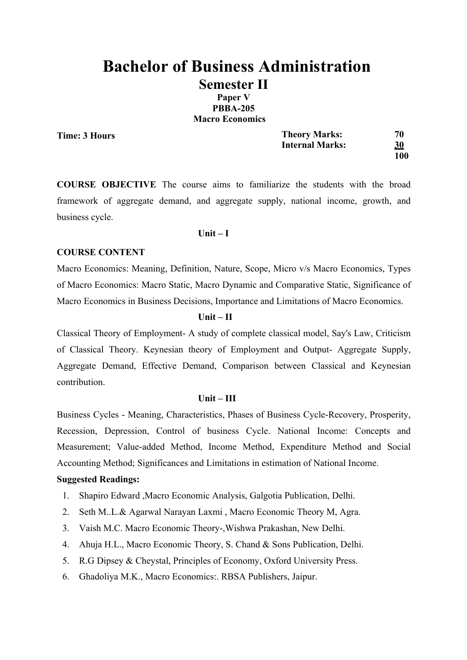**Paper V PBBA-205 Macro Economics**

**Time: 3 Hours**

| <b>Theory Marks:</b>   | 70        |
|------------------------|-----------|
| <b>Internal Marks:</b> | <u>30</u> |
|                        | 100       |

**COURSE OBJECTIVE** The course aims to familiarize the students with the broad framework of aggregate demand, and aggregate supply, national income, growth, and business cycle.

#### **Unit – I**

### **COURSE CONTENT**

Macro Economics: Meaning, Definition, Nature, Scope, Micro v/s Macro Economics, Types of Macro Economics: Macro Static, Macro Dynamic and Comparative Static, Significance of Macro Economics in Business Decisions, Importance and Limitations of Macro Economics.

### **Unit – II**

Classical Theory of Employment- A study of complete classical model, Say's Law, Criticism of Classical Theory. Keynesian theory of Employment and Output- Aggregate Supply, Aggregate Demand, Effective Demand, Comparison between Classical and Keynesian contribution.

### **Unit – III**

Business Cycles - Meaning, Characteristics, Phases of Business Cycle-Recovery, Prosperity, Recession, Depression, Control of business Cycle. National Income: Concepts and Measurement; Value-added Method, Income Method, Expenditure Method and Social Accounting Method; Significances and Limitations in estimation of National Income.

- 1. Shapiro Edward ,Macro Economic Analysis, Galgotia Publication, Delhi.
- 2. Seth M..L.& Agarwal Narayan Laxmi , Macro Economic Theory M, Agra.
- 3. Vaish M.C. Macro Economic Theory-,Wishwa Prakashan, New Delhi.
- 4. Ahuja H.L., Macro Economic Theory, S. Chand & Sons Publication, Delhi.
- 5. R.G Dipsey & Cheystal, Principles of Economy, Oxford University Press.
- 6. Ghadoliya M.K., Macro Economics:. RBSA Publishers, Jaipur.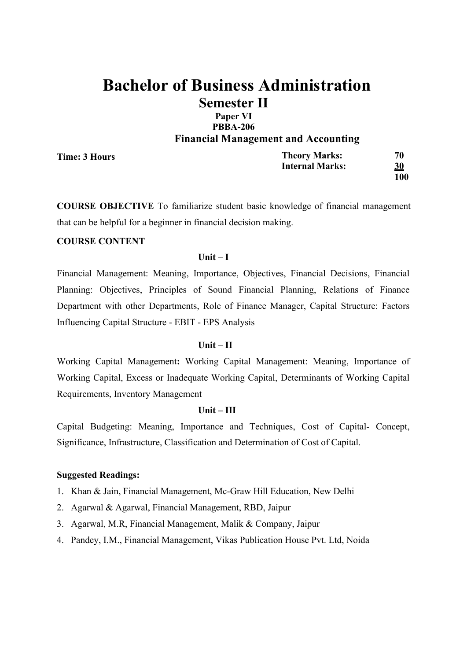# **Paper VI PBBA-206 Financial Management and Accounting**

**Time: 3 Hours**

| <b>Theory Marks:</b>   | 70        |
|------------------------|-----------|
| <b>Internal Marks:</b> | <u>30</u> |
|                        | 100       |

**COURSE OBJECTIVE** To familiarize student basic knowledge of financial management that can be helpful for a beginner in financial decision making.

### **COURSE CONTENT**

### **Unit – I**

Financial Management: Meaning, Importance, Objectives, Financial Decisions, Financial Planning: Objectives, Principles of Sound Financial Planning, Relations of Finance Department with other Departments, Role of Finance Manager, Capital Structure: Factors Influencing Capital Structure - EBIT - EPS Analysis

### **Unit – II**

Working Capital Management**:** Working Capital Management: Meaning, Importance of Working Capital, Excess or Inadequate Working Capital, Determinants of Working Capital Requirements, Inventory Management

### **Unit – III**

Capital Budgeting: Meaning, Importance and Techniques, Cost of Capital- Concept, Significance, Infrastructure, Classification and Determination of Cost of Capital.

- 1. Khan & Jain, Financial Management, Mc-Graw Hill Education, New Delhi
- 2. Agarwal & Agarwal, Financial Management, RBD, Jaipur
- 3. Agarwal, M.R, Financial Management, Malik & Company, Jaipur
- 4. Pandey, I.M., Financial Management, Vikas Publication House Pvt. Ltd, Noida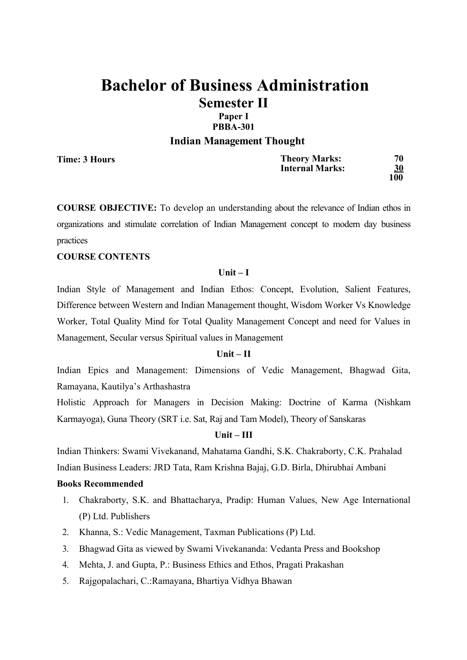### **Paper I PBBA-301**

### **Indian Management Thought**

**Time: 3 Hours**

| <b>Theory Marks:</b>   | 70        |
|------------------------|-----------|
| <b>Internal Marks:</b> | <b>30</b> |
|                        | 100       |

**COURSE OBJECTIVE:** To develop an understanding about the relevance of Indian ethos in organizations and stimulate correlation of Indian Management concept to modern day business practices

### **COURSE CONTENTS**

### **Unit – I**

Indian Style of Management and Indian Ethos: Concept, Evolution, Salient Features, Difference between Western and Indian Management thought, Wisdom Worker Vs Knowledge Worker, Total Quality Mind for Total Quality Management Concept and need for Values in Management, Secular versus Spiritual values in Management

### **Unit – II**

Indian Epics and Management: Dimensions of Vedic Management, Bhagwad Gita, Ramayana, Kautilya's Arthashastra

Holistic Approach for Managers in Decision Making: Doctrine of Karma (Nishkam Karmayoga), Guna Theory (SRT i.e. Sat, Raj and Tam Model), Theory of Sanskaras

## **Unit – III**

Indian Thinkers: Swami Vivekanand, Mahatama Gandhi, S.K. Chakraborty, C.K. Prahalad Indian Business Leaders: JRD Tata, Ram Krishna Bajaj, G.D. Birla, Dhirubhai Ambani

- 1. Chakraborty, S.K. and Bhattacharya, Pradip: Human Values, New Age International (P) Ltd. Publishers
- 2. Khanna, S.: Vedic Management, Taxman Publications (P) Ltd.
- 3. Bhagwad Gita as viewed by Swami Vivekananda: Vedanta Press and Bookshop
- 4. Mehta, J. and Gupta, P.: Business Ethics and Ethos, Pragati Prakashan
- 5. Rajgopalachari, C.:Ramayana, Bhartiya Vidhya Bhawan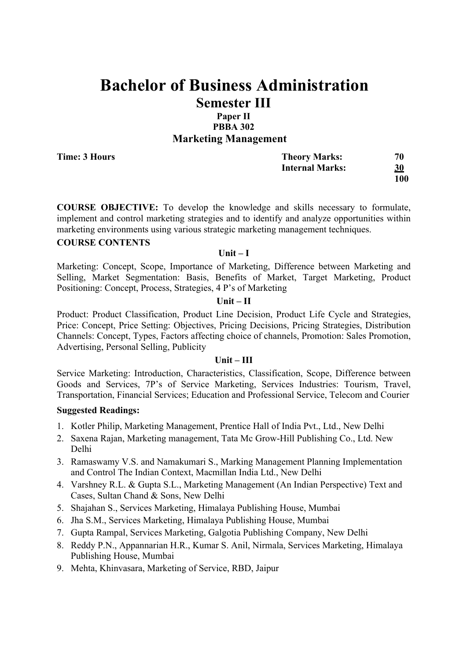# **Paper II PBBA 302 Marketing Management**

**Time: 3 Hours**

| <b>Theory Marks:</b>   | 70         |
|------------------------|------------|
| <b>Internal Marks:</b> | 30         |
|                        | <b>100</b> |

**COURSE OBJECTIVE:** To develop the knowledge and skills necessary to formulate, implement and control marketing strategies and to identify and analyze opportunities within marketing environments using various strategic marketing management techniques.

### **COURSE CONTENTS**

### **Unit – I**

Marketing: Concept, Scope, Importance of Marketing, Difference between Marketing and Selling, Market Segmentation: Basis, Benefits of Market, Target Marketing, Product Positioning: Concept, Process, Strategies, 4 P's of Marketing

### **Unit – II**

Product: Product Classification, Product Line Decision, Product Life Cycle and Strategies, Price: Concept, Price Setting: Objectives, Pricing Decisions, Pricing Strategies, Distribution Channels: Concept, Types, Factors affecting choice of channels, Promotion: Sales Promotion, Advertising, Personal Selling, Publicity

### **Unit – III**

Service Marketing: Introduction, Characteristics, Classification, Scope, Difference between Goods and Services, 7P's of Service Marketing, Services Industries: Tourism, Travel, Transportation, Financial Services; Education and Professional Service, Telecom and Courier

- 1. Kotler Philip, Marketing Management, Prentice Hall of India Pvt., Ltd., New Delhi
- 2. Saxena Rajan, Marketing management, Tata Mc Grow-Hill Publishing Co., Ltd. New Delhi
- 3. Ramaswamy V.S. and Namakumari S., Marking Management Planning Implementation and Control The Indian Context, Macmillan India Ltd., New Delhi
- 4. Varshney R.L. & Gupta S.L., Marketing Management (An Indian Perspective) Text and Cases, Sultan Chand & Sons, New Delhi
- 5. Shajahan S., Services Marketing, Himalaya Publishing House, Mumbai
- 6. Jha S.M., Services Marketing, Himalaya Publishing House, Mumbai
- 7. Gupta Rampal, Services Marketing, Galgotia Publishing Company, New Delhi
- 8. Reddy P.N., Appannarian H.R., Kumar S. Anil, Nirmala, Services Marketing, Himalaya Publishing House, Mumbai
- 9. Mehta, Khinvasara, Marketing of Service, RBD, Jaipur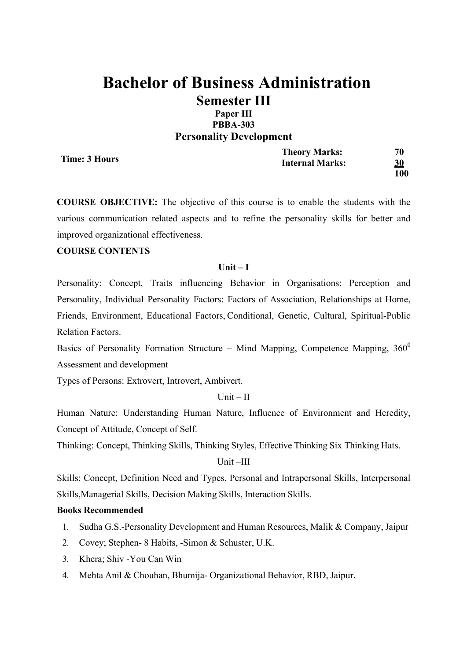### **Paper III PBBA-303 Personality Development**

**Time: 3 Hours**

**Theory Marks: 70 Internal Marks: 30 100**

**COURSE OBJECTIVE:** The objective of this course is to enable the students with the various communication related aspects and to refine the personality skills for better and improved organizational effectiveness.

### **COURSE CONTENTS**

### **Unit – I**

Personality: Concept, Traits influencing Behavior in Organisations: Perception and Personality, Individual Personality Factors: Factors of Association, Relationships at Home, Friends, Environment, Educational Factors, Conditional, Genetic, Cultural, Spiritual-Public Relation Factors.

Basics of Personality Formation Structure – Mind Mapping, Competence Mapping,  $360^0$ Assessment and development

Types of Persons: Extrovert, Introvert, Ambivert.

## Unit  $-$  II

Human Nature: Understanding Human Nature, Influence of Environment and Heredity, Concept of Attitude, Concept of Self.

Thinking: Concept, Thinking Skills, Thinking Styles, Effective Thinking Six Thinking Hats.

Unit –III

Skills: Concept, Definition Need and Types, Personal and Intrapersonal Skills, Interpersonal Skills,Managerial Skills, Decision Making Skills, Interaction Skills.

- 1. Sudha G.S.-Personality Development and Human Resources, Malik & Company, Jaipur
- 2. Covey; Stephen- 8 Habits, -Simon & Schuster, U.K.
- 3. Khera; Shiv -You Can Win
- 4. Mehta Anil & Chouhan, Bhumija- Organizational Behavior, RBD, Jaipur.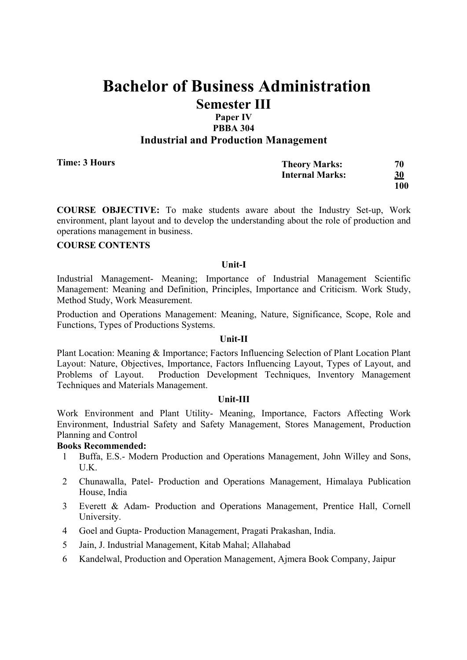# Paper IV **PBBA 304 Industrial and Production Management**

| Time: 3 Hours | <b>Theory Marks:</b>   | 70        |
|---------------|------------------------|-----------|
|               | <b>Internal Marks:</b> | <u>30</u> |
|               |                        | 100       |

**COURSE OBJECTIVE:** To make students aware about the Industry Set-up, Work environment, plant layout and to develop the understanding about the role of production and operations management in business.

# **COURSE CONTENTS**

### **Unit-I**

Industrial Management- Meaning; Importance of Industrial Management Scientific Management: Meaning and Definition, Principles, Importance and Criticism. Work Study, Method Study, Work Measurement.

Production and Operations Management: Meaning, Nature, Significance, Scope, Role and Functions, Types of Productions Systems.

### **Unit-II**

Plant Location: Meaning & Importance; Factors Influencing Selection of Plant Location Plant Layout: Nature, Objectives, Importance, Factors Influencing Layout, Types of Layout, and Problems of Layout. Production Development Techniques, Inventory Management Techniques and Materials Management.

### **Unit-III**

Work Environment and Plant Utility- Meaning, Importance, Factors Affecting Work Environment, Industrial Safety and Safety Management, Stores Management, Production Planning and Control

- 1 Buffa, E.S.- Modern Production and Operations Management, John Willey and Sons, U.K.
- 2 Chunawalla, Patel- Production and Operations Management, Himalaya Publication House, India
- 3 Everett & Adam- Production and Operations Management, Prentice Hall, Cornell University.
- 4 Goel and Gupta- Production Management, Pragati Prakashan, India.
- 5 Jain, J. Industrial Management, Kitab Mahal; Allahabad
- 6 Kandelwal, Production and Operation Management, Ajmera Book Company, Jaipur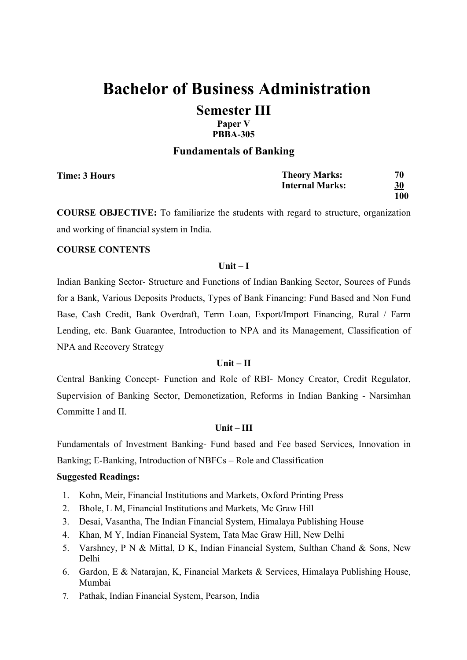**Paper V PBBA-305**

### **Fundamentals of Banking**

| Time: 3 Hours | <b>Theory Marks:</b>   | 70        |
|---------------|------------------------|-----------|
|               | <b>Internal Marks:</b> | <u>30</u> |
|               |                        | 100       |

**COURSE OBJECTIVE:** To familiarize the students with regard to structure, organization and working of financial system in India.

### **COURSE CONTENTS**

### **Unit – I**

Indian Banking Sector- Structure and Functions of Indian Banking Sector, Sources of Funds for a Bank, Various Deposits Products, Types of Bank Financing: Fund Based and Non Fund Base, Cash Credit, Bank Overdraft, Term Loan, Export/Import Financing, Rural / Farm Lending, etc. Bank Guarantee, Introduction to NPA and its Management, Classification of NPA and Recovery Strategy

### **Unit – II**

Central Banking Concept- Function and Role of RBI- Money Creator, Credit Regulator, Supervision of Banking Sector, Demonetization, Reforms in Indian Banking - Narsimhan Committe I and II.

### **Unit – III**

Fundamentals of Investment Banking- Fund based and Fee based Services, Innovation in Banking; E-Banking, Introduction of NBFCs – Role and Classification

- 1. Kohn, Meir, Financial Institutions and Markets, Oxford Printing Press
- 2. Bhole, L M, Financial Institutions and Markets, Mc Graw Hill
- 3. Desai, Vasantha, The Indian Financial System, Himalaya Publishing House
- 4. Khan, M Y, Indian Financial System, Tata Mac Graw Hill, New Delhi
- 5. Varshney, P N & Mittal, D K, Indian Financial System, Sulthan Chand & Sons, New Delhi
- 6. Gardon, E & Natarajan, K, Financial Markets & Services, Himalaya Publishing House, Mumbai
- 7. Pathak, Indian Financial System, Pearson, India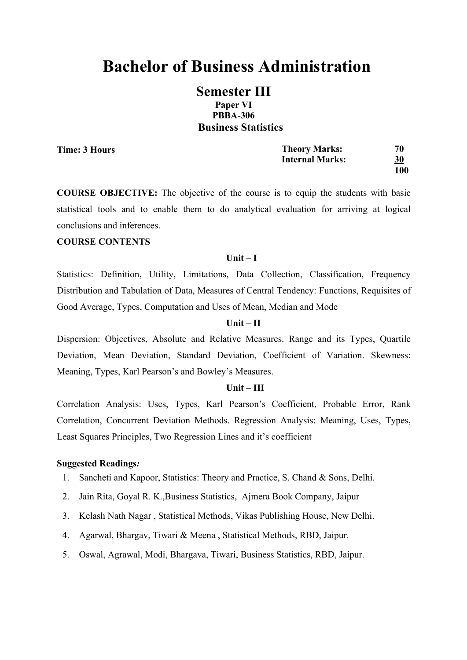# **Bachelor of Business Administration**

# **Semester III Paper VI PBBA-306 Business Statistics**

**Time: 3 Hours**

| <b>Theory Marks:</b>   | 70         |
|------------------------|------------|
| <b>Internal Marks:</b> | <u>30</u>  |
|                        | <b>100</b> |

**COURSE OBJECTIVE:** The objective of the course is to equip the students with basic statistical tools and to enable them to do analytical evaluation for arriving at logical conclusions and inferences.

#### **COURSE CONTENTS**

#### **Unit – I**

Statistics: Definition, Utility, Limitations, Data Collection, Classification, Frequency Distribution and Tabulation of Data, Measures of Central Tendency: Functions, Requisites of Good Average, Types, Computation and Uses of Mean, Median and Mode

#### **Unit – II**

Dispersion: Objectives, Absolute and Relative Measures. Range and its Types, Quartile Deviation, Mean Deviation, Standard Deviation, Coefficient of Variation. Skewness: Meaning, Types, Karl Pearson's and Bowley's Measures.

### **Unit – III**

Correlation Analysis: Uses, Types, Karl Pearson's Coefficient, Probable Error, Rank Correlation, Concurrent Deviation Methods. Regression Analysis: Meaning, Uses, Types, Least Squares Principles, Two Regression Lines and it's coefficient

- 1. Sancheti and Kapoor, Statistics: Theory and Practice, S. Chand & Sons, Delhi.
- 2. Jain Rita, Goyal R. K.,Business Statistics, Ajmera Book Company, Jaipur
- 3. Kelash Nath Nagar , Statistical Methods, Vikas Publishing House, New Delhi.
- 4. Agarwal, Bhargav, Tiwari & Meena , Statistical Methods, RBD, Jaipur.
- 5. Oswal, Agrawal, Modi, Bhargava, Tiwari, Business Statistics, RBD, Jaipur.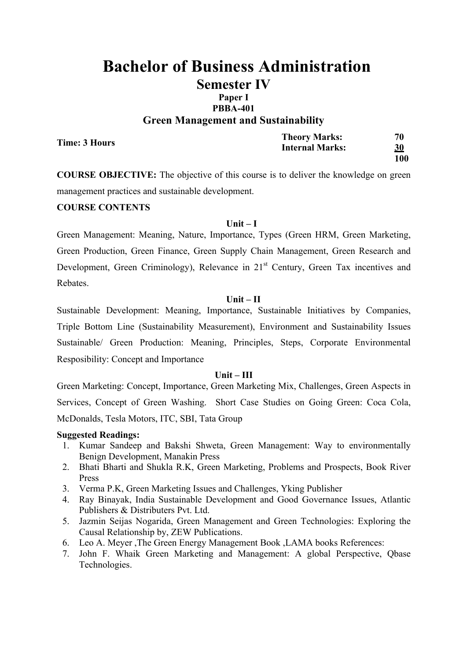# **PBBA-401**

**Green Management and Sustainability**

| Time: 3 Hours | <b>Theory Marks:</b>   | 70  |
|---------------|------------------------|-----|
|               | <b>Internal Marks:</b> | 30  |
|               |                        | 100 |

**COURSE OBJECTIVE:** The objective of this course is to deliver the knowledge on green management practices and sustainable development.

### **COURSE CONTENTS**

### **Unit – I**

Green Management: Meaning, Nature, Importance, Types (Green HRM, Green Marketing, Green Production, Green Finance, Green Supply Chain Management, Green Research and Development, Green Criminology), Relevance in 21<sup>st</sup> Century, Green Tax incentives and Rebates.

### **Unit – II**

Sustainable Development: Meaning, Importance, Sustainable Initiatives by Companies, Triple Bottom Line (Sustainability Measurement), Environment and Sustainability Issues Sustainable/ Green Production: Meaning, Principles, Steps, Corporate Environmental Resposibility: Concept and Importance

### **Unit – III**

Green Marketing: Concept, Importance, Green Marketing Mix, Challenges, Green Aspects in Services, Concept of Green Washing. Short Case Studies on Going Green: Coca Cola, McDonalds, Tesla Motors, ITC, SBI, Tata Group

- 1. Kumar Sandeep and Bakshi Shweta, Green Management: Way to environmentally Benign Development, Manakin Press
- 2. Bhati Bharti and Shukla R.K, Green Marketing, Problems and Prospects, Book River Press
- 3. Verma P.K, Green Marketing Issues and Challenges, Yking Publisher
- 4. Ray Binayak, India Sustainable Development and Good Governance Issues, Atlantic Publishers & Distributers Pvt. Ltd.
- 5. Jazmin Seijas Nogarida, Green Management and Green Technologies: Exploring the Causal Relationship by, ZEW Publications.
- 6. Leo A. Meyer ,The Green Energy Management Book ,LAMA books References:
- 7. John F. Whaik Green Marketing and Management: A global Perspective, Qbase Technologies.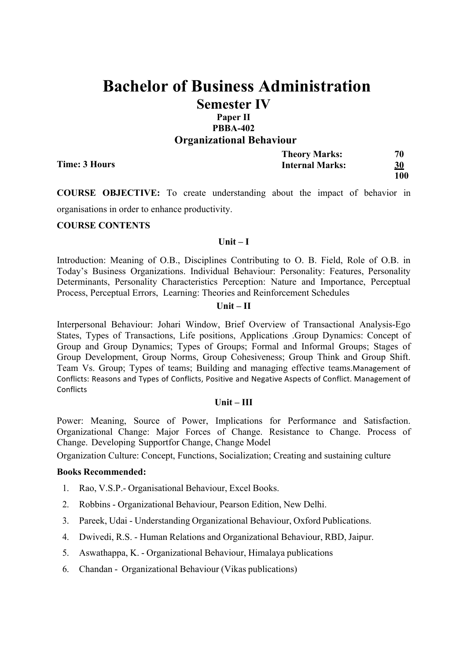# Paper II **PBBA-402 Organizational Behaviour**

|               | <b>Theory Marks:</b>   | 70        |
|---------------|------------------------|-----------|
| Time: 3 Hours | <b>Internal Marks:</b> | <u>30</u> |
|               |                        | 100       |

**COURSE OBJECTIVE:** To create understanding about the impact of behavior in organisations in order to enhance productivity.

### **COURSE CONTENTS**

#### **Unit – I**

Introduction: Meaning of O.B., Disciplines Contributing to O. B. Field, Role of O.B. in Today's Business Organizations. Individual Behaviour: Personality: Features, Personality Determinants, Personality Characteristics Perception: Nature and Importance, Perceptual Process, Perceptual Errors, Learning: Theories and Reinforcement Schedules

#### **Unit – II**

Interpersonal Behaviour: Johari Window, Brief Overview of Transactional Analysis-Ego States, Types of Transactions, Life positions, Applications .Group Dynamics: Concept of Group and Group Dynamics; Types of Groups; Formal and Informal Groups; Stages of Group Development, Group Norms, Group Cohesiveness; Group Think and Group Shift. Team Vs. Group: Types of teams: Building and managing effective teams.Management of Conflicts: Reasons and Types of Conflicts, Positive and Negative Aspects of Conflict. Management of **Conflicts** 

### **Unit – III**

Power: Meaning, Source of Power, Implications for Performance and Satisfaction. Organizational Change: Major Forces of Change. Resistance to Change. Process of Change. Developing Supportfor Change, Change Model

Organization Culture: Concept, Functions, Socialization; Creating and sustaining culture

- 1. Rao, V.S.P.- Organisational Behaviour, Excel Books.
- 2. Robbins Organizational Behaviour, Pearson Edition, New Delhi.
- 3. Pareek, Udai Understanding Organizational Behaviour, Oxford Publications.
- 4. Dwivedi, R.S. Human Relations and Organizational Behaviour, RBD, Jaipur.
- 5. Aswathappa, K. Organizational Behaviour, Himalaya publications
- 6. Chandan Organizational Behaviour (Vikas publications)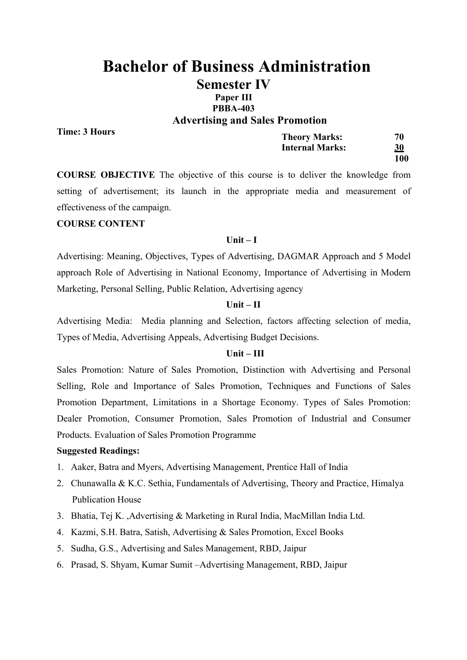# **Bachelor of Business Administration Semester IV Paper III PBBA-403**

**Advertising and Sales Promotion**

**Time: 3 Hours**

| <b>Theory Marks:</b>   | 70         |
|------------------------|------------|
| <b>Internal Marks:</b> | 30         |
|                        | <b>100</b> |

**COURSE OBJECTIVE** The objective of this course is to deliver the knowledge from setting of advertisement; its launch in the appropriate media and measurement of effectiveness of the campaign.

### **COURSE CONTENT**

#### **Unit – I**

Advertising: Meaning, Objectives, Types of Advertising, DAGMAR Approach and 5 Model approach Role of Advertising in National Economy, Importance of Advertising in Modern Marketing, Personal Selling, Public Relation, Advertising agency

### **Unit – II**

Advertising Media: Media planning and Selection, factors affecting selection of media, Types of Media, Advertising Appeals, Advertising Budget Decisions.

### **Unit – III**

Sales Promotion: Nature of Sales Promotion, Distinction with Advertising and Personal Selling, Role and Importance of Sales Promotion, Techniques and Functions of Sales Promotion Department, Limitations in a Shortage Economy. Types of Sales Promotion: Dealer Promotion, Consumer Promotion, Sales Promotion of Industrial and Consumer Products. Evaluation of Sales Promotion Programme

- 1. Aaker, Batra and Myers, Advertising Management, Prentice Hall of India
- 2. Chunawalla & K.C. Sethia, Fundamentals of Advertising, Theory and Practice, Himalya Publication House
- 3. Bhatia, Tej K. ,Advertising & Marketing in Rural India, MacMillan India Ltd.
- 4. Kazmi, S.H. Batra, Satish, Advertising & Sales Promotion, Excel Books
- 5. Sudha, G.S., Advertising and Sales Management, RBD, Jaipur
- 6. Prasad, S. Shyam, Kumar Sumit –Advertising Management, RBD, Jaipur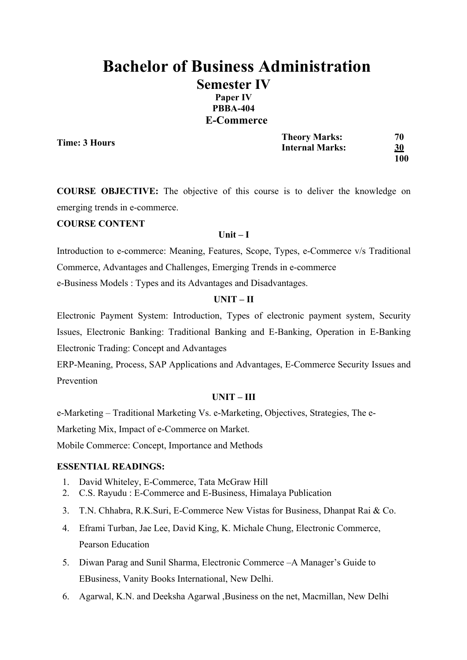# **Bachelor of Business Administration Semester IV Paper IV PBBA-404 E-Commerce**

**Time: 3 Hours**

| <b>Theory Marks:</b>   | 70         |
|------------------------|------------|
| <b>Internal Marks:</b> | <u>30</u>  |
|                        | <b>100</b> |

**COURSE OBJECTIVE:** The objective of this course is to deliver the knowledge on emerging trends in e-commerce.

## **COURSE CONTENT**

### **Unit – I**

Introduction to e-commerce: Meaning, Features, Scope, Types, e-Commerce v/s Traditional Commerce, Advantages and Challenges, Emerging Trends in e-commerce e-Business Models : Types and its Advantages and Disadvantages.

### **UNIT – II**

Electronic Payment System: Introduction, Types of electronic payment system, Security Issues, Electronic Banking: Traditional Banking and E-Banking, Operation in E-Banking Electronic Trading: Concept and Advantages

ERP-Meaning, Process, SAP Applications and Advantages, E-Commerce Security Issues and Prevention

### **UNIT – III**

e-Marketing – Traditional Marketing Vs. e-Marketing, Objectives, Strategies, The e-

Marketing Mix, Impact of e-Commerce on Market.

Mobile Commerce: Concept, Importance and Methods

### **ESSENTIAL READINGS:**

- 1. David Whiteley, E-Commerce, Tata McGraw Hill
- 2. C.S. Rayudu : E-Commerce and E-Business, Himalaya Publication
- 3. T.N. Chhabra, R.K.Suri, E-Commerce New Vistas for Business, Dhanpat Rai & Co.
- 4. Eframi Turban, Jae Lee, David King, K. Michale Chung, Electronic Commerce, Pearson Education
- 5. Diwan Parag and Sunil Sharma, Electronic Commerce –A Manager's Guide to EBusiness, Vanity Books International, New Delhi.
- 6. Agarwal, K.N. and Deeksha Agarwal ,Business on the net, Macmillan, New Delhi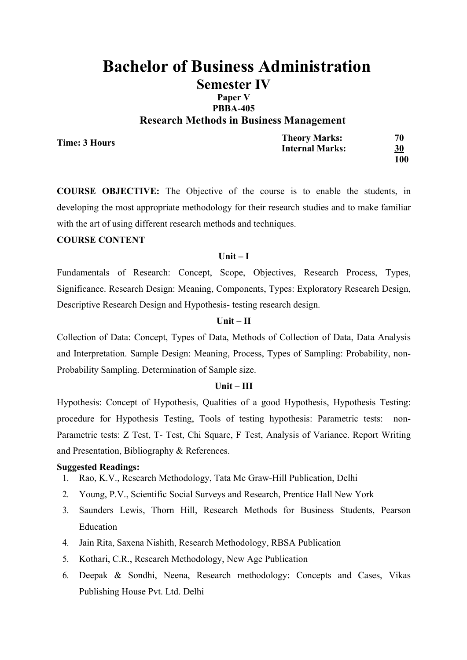# **PBBA-405 Research Methods in Business Management**

**Time: 3 Hours**

**Theory Marks: 70 Internal Marks: 30 100**

**COURSE OBJECTIVE:** The Objective of the course is to enable the students, in developing the most appropriate methodology for their research studies and to make familiar with the art of using different research methods and techniques.

### **COURSE CONTENT**

### **Unit – I**

Fundamentals of Research: Concept, Scope, Objectives, Research Process, Types, Significance. Research Design: Meaning, Components, Types: Exploratory Research Design, Descriptive Research Design and Hypothesis- testing research design.

### **Unit – II**

Collection of Data: Concept, Types of Data, Methods of Collection of Data, Data Analysis and Interpretation. Sample Design: Meaning, Process, Types of Sampling: Probability, non-Probability Sampling. Determination of Sample size.

# **Unit – III**

Hypothesis: Concept of Hypothesis, Qualities of a good Hypothesis, Hypothesis Testing: procedure for Hypothesis Testing, Tools of testing hypothesis: Parametric tests: non-Parametric tests: Z Test, T- Test, Chi Square, F Test, Analysis of Variance. Report Writing and Presentation, Bibliography & References.

- 1. Rao, K.V., Research Methodology, Tata Mc Graw-Hill Publication, Delhi
- 2. Young, P.V., Scientific Social Surveys and Research, Prentice Hall New York
- 3. Saunders Lewis, Thorn Hill, Research Methods for Business Students, Pearson Education
- 4. Jain Rita, Saxena Nishith, Research Methodology, RBSA Publication
- 5. Kothari, C.R., Research Methodology, New Age Publication
- 6. Deepak & Sondhi, Neena, Research methodology: Concepts and Cases, Vikas Publishing House Pvt. Ltd. Delhi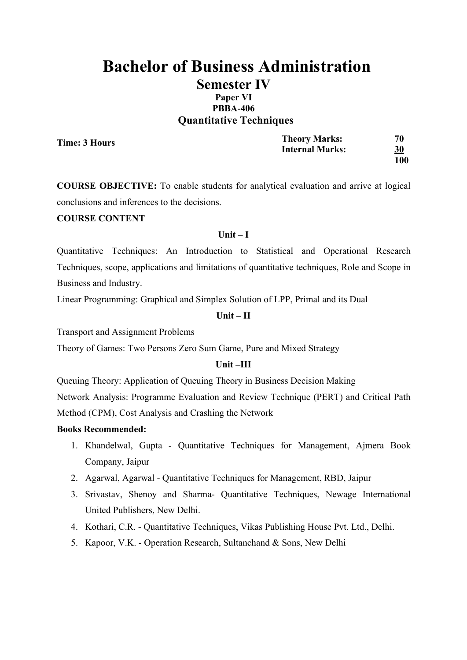# **Bachelor of Business Administration Semester IV Paper VI PBBA-406 Quantitative Techniques**

**Time: 3 Hours**

**Theory Marks: 70 Internal Marks: 30 100**

**COURSE OBJECTIVE:** To enable students for analytical evaluation and arrive at logical conclusions and inferences to the decisions.

### **COURSE CONTENT**

### **Unit – I**

Quantitative Techniques: An Introduction to Statistical and Operational Research Techniques, scope, applications and limitations of quantitative techniques, Role and Scope in Business and Industry.

Linear Programming: Graphical and Simplex Solution of LPP, Primal and its Dual

### **Unit – II**

Transport and Assignment Problems

Theory of Games: Two Persons Zero Sum Game, Pure and Mixed Strategy

### **Unit –III**

Queuing Theory: Application of Queuing Theory in Business Decision Making Network Analysis: Programme Evaluation and Review Technique (PERT) and Critical Path Method (CPM), Cost Analysis and Crashing the Network

- 1. Khandelwal, Gupta Quantitative Techniques for Management, Ajmera Book Company, Jaipur
- 2. Agarwal, Agarwal Quantitative Techniques for Management, RBD, Jaipur
- 3. Srivastav, Shenoy and Sharma- Quantitative Techniques, Newage International United Publishers, New Delhi.
- 4. Kothari, C.R. Quantitative Techniques, Vikas Publishing House Pvt. Ltd., Delhi.
- 5. Kapoor, V.K. Operation Research, Sultanchand & Sons, New Delhi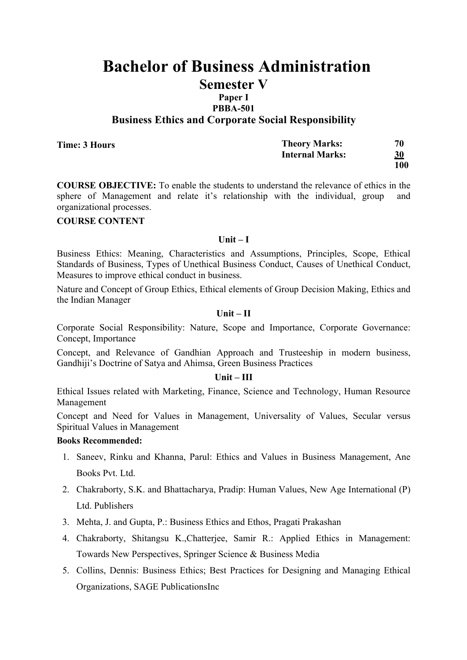# **Paper I**

**PBBA-501**

**Business Ethics and Corporate Social Responsibility**

| Time: 3 Hours | <b>Theory Marks:</b>   | 70  |
|---------------|------------------------|-----|
|               | <b>Internal Marks:</b> | 30  |
|               |                        | 100 |

**COURSE OBJECTIVE:** To enable the students to understand the relevance of ethics in the sphere of Management and relate it's relationship with the individual, group and organizational processes.

### **COURSE CONTENT**

#### **Unit – I**

Business Ethics: Meaning, Characteristics and Assumptions, Principles, Scope, Ethical Standards of Business, Types of Unethical Business Conduct, Causes of Unethical Conduct, Measures to improve ethical conduct in business.

Nature and Concept of Group Ethics, Ethical elements of Group Decision Making, Ethics and the Indian Manager

### **Unit – II**

Corporate Social Responsibility: Nature, Scope and Importance, Corporate Governance: Concept, Importance

Concept, and Relevance of Gandhian Approach and Trusteeship in modern business, Gandhiji's Doctrine of Satya and Ahimsa, Green Business Practices

### **Unit – III**

Ethical Issues related with Marketing, Finance, Science and Technology, Human Resource Management

Concept and Need for Values in Management, Universality of Values, Secular versus Spiritual Values in Management

- 1. Saneev, Rinku and Khanna, Parul: Ethics and Values in Business Management, Ane Books Pvt. Ltd.
- 2. Chakraborty, S.K. and Bhattacharya, Pradip: Human Values, New Age International (P) Ltd. Publishers
- 3. Mehta, J. and Gupta, P.: Business Ethics and Ethos, Pragati Prakashan
- 4. Chakraborty, Shitangsu K.,Chatterjee, Samir R.: Applied Ethics in Management: Towards New Perspectives, Springer Science & Business Media
- 5. Collins, Dennis: Business Ethics; Best Practices for Designing and Managing Ethical Organizations, SAGE PublicationsInc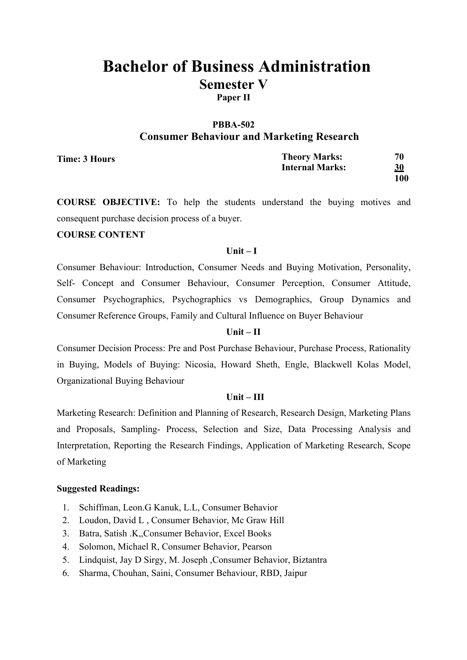# **PBBA-502 Consumer Behaviour and Marketing Research**

| Time: 3 Hours | <b>Theory Marks:</b>   | 70  |
|---------------|------------------------|-----|
|               | <b>Internal Marks:</b> | 30  |
|               |                        | 100 |

**COURSE OBJECTIVE:** To help the students understand the buying motives and consequent purchase decision process of a buyer.

### **COURSE CONTENT**

### **Unit – I**

Consumer Behaviour: Introduction, Consumer Needs and Buying Motivation, Personality, Self- Concept and Consumer Behaviour, Consumer Perception, Consumer Attitude, Consumer Psychographics, Psychographics vs Demographics, Group Dynamics and Consumer Reference Groups, Family and Cultural Influence on Buyer Behaviour

### **Unit – II**

Consumer Decision Process: Pre and Post Purchase Behaviour, Purchase Process, Rationality in Buying, Models of Buying: Nicosia, Howard Sheth, Engle, Blackwell Kolas Model, Organizational Buying Behaviour

# **Unit – III**

Marketing Research: Definition and Planning of Research, Research Design, Marketing Plans and Proposals, Sampling- Process, Selection and Size, Data Processing Analysis and Interpretation, Reporting the Research Findings, Application of Marketing Research, Scope of Marketing

- 1. Schiffman, Leon.G Kanuk, L.L, Consumer Behavior
- 2. Loudon, David L , Consumer Behavior, Mc Graw Hill
- 3. Batra, Satish .K,,Consumer Behavior, Excel Books
- 4. Solomon, Michael R, Consumer Behavior, Pearson
- 5. Lindquist, Jay D Sirgy, M. Joseph ,Consumer Behavior, Biztantra
- 6. Sharma, Chouhan, Saini, Consumer Behaviour, RBD, Jaipur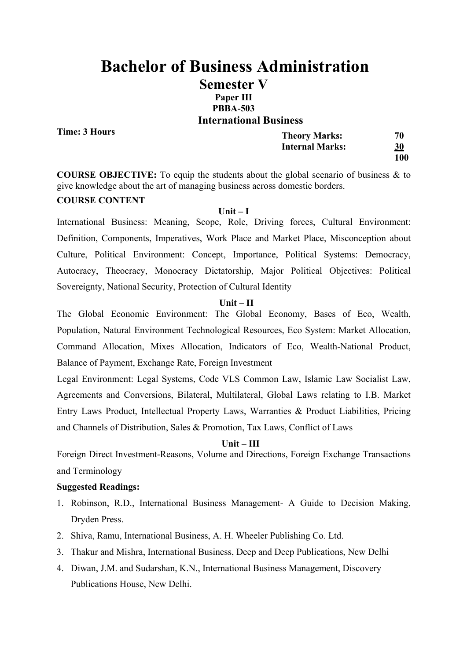# **Bachelor of Business Administration Semester V Paper III PBBA-503 International Business**

**Time: 3 Hours**

| <b>Theory Marks:</b>   | 70        |
|------------------------|-----------|
| <b>Internal Marks:</b> | <u>30</u> |
|                        | 100       |

**COURSE OBJECTIVE:** To equip the students about the global scenario of business & to give knowledge about the art of managing business across domestic borders.

### **COURSE CONTENT**

### **Unit – I**

International Business: Meaning, Scope, Role, Driving forces, Cultural Environment: Definition, Components, Imperatives, Work Place and Market Place, Misconception about Culture, Political Environment: Concept, Importance, Political Systems: Democracy, Autocracy, Theocracy, Monocracy Dictatorship, Major Political Objectives: Political Sovereignty, National Security, Protection of Cultural Identity

### **Unit – II**

The Global Economic Environment: The Global Economy, Bases of Eco, Wealth, Population, Natural Environment Technological Resources, Eco System: Market Allocation, Command Allocation, Mixes Allocation, Indicators of Eco, Wealth-National Product, Balance of Payment, Exchange Rate, Foreign Investment

Legal Environment: Legal Systems, Code VLS Common Law, Islamic Law Socialist Law, Agreements and Conversions, Bilateral, Multilateral, Global Laws relating to I.B. Market Entry Laws Product, Intellectual Property Laws, Warranties & Product Liabilities, Pricing and Channels of Distribution, Sales & Promotion, Tax Laws, Conflict of Laws

### **Unit – III**

Foreign Direct Investment-Reasons, Volume and Directions, Foreign Exchange Transactions and Terminology

- 1. Robinson, R.D., International Business Management- A Guide to Decision Making, Dryden Press.
- 2. Shiva, Ramu, International Business, A. H. Wheeler Publishing Co. Ltd.
- 3. Thakur and Mishra, International Business, Deep and Deep Publications, New Delhi
- 4. Diwan, J.M. and Sudarshan, K.N., International Business Management, Discovery Publications House, New Delhi.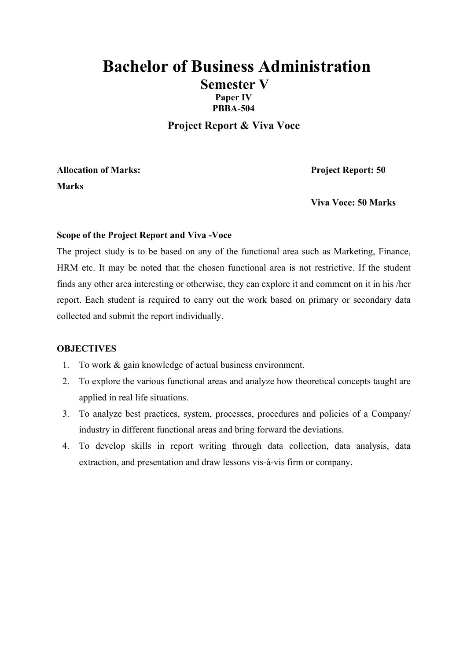# **Bachelor of Business Administration Semester V Paper IV PBBA-504**

**Project Report & Viva Voce**

**Allocation of Marks: Project Report: 50 Marks**

**Viva Voce: 50 Marks**

### **Scope of the Project Report and Viva -Voce**

The project study is to be based on any of the functional area such as Marketing, Finance, HRM etc. It may be noted that the chosen functional area is not restrictive. If the student finds any other area interesting or otherwise, they can explore it and comment on it in his /her report. Each student is required to carry out the work based on primary or secondary data collected and submit the report individually.

### **OBJECTIVES**

- 1. To work & gain knowledge of actual business environment.
- 2. To explore the various functional areas and analyze how theoretical concepts taught are applied in real life situations.
- 3. To analyze best practices, system, processes, procedures and policies of a Company/ industry in different functional areas and bring forward the deviations.
- 4. To develop skills in report writing through data collection, data analysis, data extraction, and presentation and draw lessons vis-à-vis firm or company.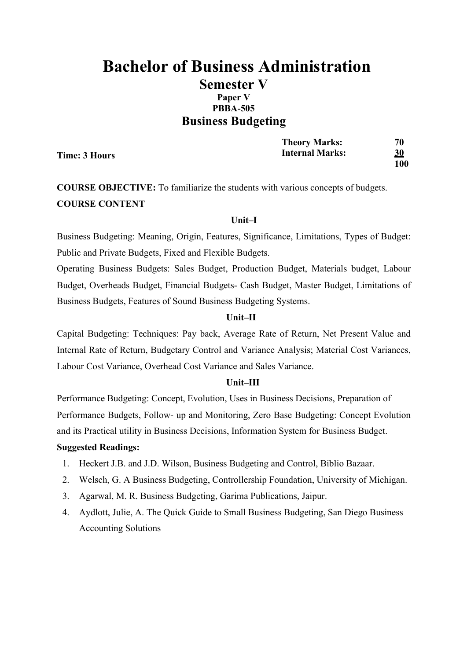# **Bachelor of Business Administration Semester V Paper V PBBA-505 Business Budgeting**

|               | <b>Theory Marks:</b>   | 70  |
|---------------|------------------------|-----|
| Time: 3 Hours | <b>Internal Marks:</b> | 30  |
|               |                        | 100 |

**COURSE OBJECTIVE:** To familiarize the students with various concepts of budgets. **COURSE CONTENT**

### **Unit–I**

Business Budgeting: Meaning, Origin, Features, Significance, Limitations, Types of Budget: Public and Private Budgets, Fixed and Flexible Budgets.

Operating Business Budgets: Sales Budget, Production Budget, Materials budget, Labour Budget, Overheads Budget, Financial Budgets- Cash Budget, Master Budget, Limitations of Business Budgets, Features of Sound Business Budgeting Systems.

### **Unit–II**

Capital Budgeting: Techniques: Pay back, Average Rate of Return, Net Present Value and Internal Rate of Return, Budgetary Control and Variance Analysis; Material Cost Variances, Labour Cost Variance, Overhead Cost Variance and Sales Variance.

#### **Unit–III**

Performance Budgeting: Concept, Evolution, Uses in Business Decisions, Preparation of Performance Budgets, Follow- up and Monitoring, Zero Base Budgeting: Concept Evolution and its Practical utility in Business Decisions, Information System for Business Budget.

- 1. Heckert J.B. and J.D. Wilson, Business Budgeting and Control, Biblio Bazaar.
- 2. Welsch, G. A Business Budgeting, Controllership Foundation, University of Michigan.
- 3. Agarwal, M. R. Business Budgeting, Garima Publications, Jaipur.
- 4. Aydlott, Julie, A. The Quick Guide to Small Business Budgeting, San Diego Business Accounting Solutions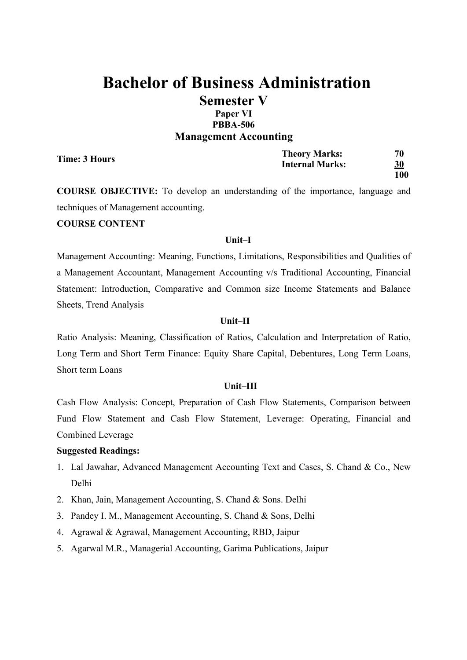# **Paper VI PBBA-506 Management Accounting**

| Time: 3 Hours | <b>Theory Marks:</b>   | 70        |
|---------------|------------------------|-----------|
|               | <b>Internal Marks:</b> | <u>30</u> |
|               |                        | 100       |

**COURSE OBJECTIVE:** To develop an understanding of the importance, language and techniques of Management accounting.

### **COURSE CONTENT**

### **Unit–I**

Management Accounting: Meaning, Functions, Limitations, Responsibilities and Qualities of a Management Accountant, Management Accounting v/s Traditional Accounting, Financial Statement: Introduction, Comparative and Common size Income Statements and Balance Sheets, Trend Analysis

### **Unit–II**

Ratio Analysis: Meaning, Classification of Ratios, Calculation and Interpretation of Ratio, Long Term and Short Term Finance: Equity Share Capital, Debentures, Long Term Loans, Short term Loans

## **Unit–III**

Cash Flow Analysis: Concept, Preparation of Cash Flow Statements, Comparison between Fund Flow Statement and Cash Flow Statement, Leverage: Operating, Financial and Combined Leverage

- 1. Lal Jawahar, Advanced Management Accounting Text and Cases, S. Chand & Co., New Delhi
- 2. Khan, Jain, Management Accounting, S. Chand & Sons. Delhi
- 3. Pandey I. M., Management Accounting, S. Chand & Sons, Delhi
- 4. Agrawal & Agrawal, Management Accounting, RBD, Jaipur
- 5. Agarwal M.R., Managerial Accounting, Garima Publications, Jaipur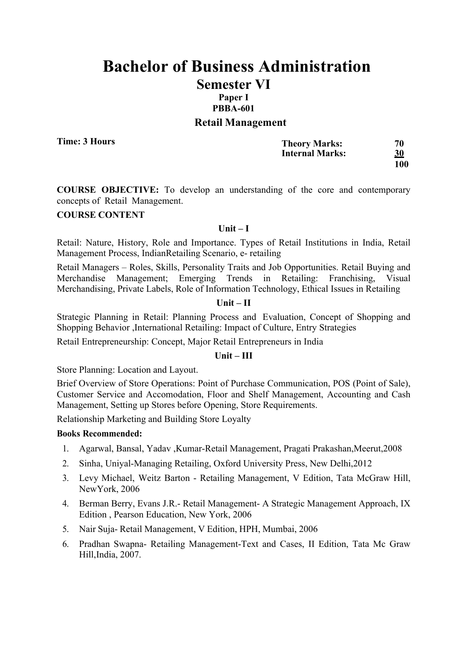### **PBBA-601**

### **Retail Management**

**Time: 3 Hours**

| <b>Theory Marks:</b>   | 70         |
|------------------------|------------|
| <b>Internal Marks:</b> | 30         |
|                        | <b>100</b> |

**COURSE OBJECTIVE:** To develop an understanding of the core and contemporary concepts of Retail Management.

### **COURSE CONTENT**

### **Unit – I**

Retail: Nature, History, Role and Importance. Types of Retail Institutions in India, Retail Management Process, IndianRetailing Scenario, e- retailing

Retail Managers – Roles, Skills, Personality Traits and Job Opportunities. Retail Buying and Merchandise Management; Emerging Trends in Retailing: Franchising, Visual Merchandising, Private Labels, Role of Information Technology, Ethical Issues in Retailing

#### **Unit – II**

Strategic Planning in Retail: Planning Process and Evaluation, Concept of Shopping and Shopping Behavior ,International Retailing: Impact of Culture, Entry Strategies

Retail Entrepreneurship: Concept, Major Retail Entrepreneurs in India

# **Unit – III**

Store Planning: Location and Layout.

Brief Overview of Store Operations: Point of Purchase Communication, POS (Point of Sale), Customer Service and Accomodation, Floor and Shelf Management, Accounting and Cash Management, Setting up Stores before Opening, Store Requirements.

Relationship Marketing and Building Store Loyalty

- 1. Agarwal, Bansal, Yadav ,Kumar-Retail Management, Pragati Prakashan,Meerut,2008
- 2. Sinha, Uniyal-Managing Retailing, Oxford University Press, New Delhi,2012
- 3. Levy Michael, Weitz Barton Retailing Management, V Edition, Tata McGraw Hill, NewYork, 2006
- 4. Berman Berry, Evans J.R.- Retail Management- A Strategic Management Approach, IX Edition , Pearson Education, New York, 2006
- 5. Nair Suja- Retail Management, V Edition, HPH, Mumbai, 2006
- 6. Pradhan Swapna- Retailing Management-Text and Cases, II Edition, Tata Mc Graw Hill,India, 2007.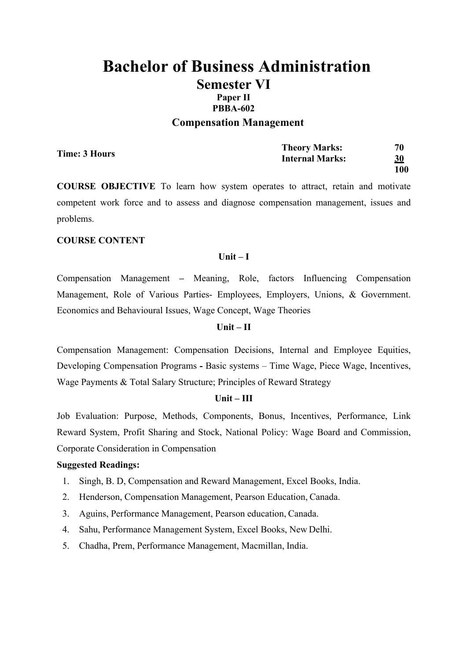# **Bachelor of Business Administration Semester VI Paper II PBBA-602**

# **Compensation Management**

|               | <b>Theory Marks:</b>   | 70        |
|---------------|------------------------|-----------|
| Time: 3 Hours | <b>Internal Marks:</b> | <u>30</u> |
|               |                        | 100       |

**COURSE OBJECTIVE** To learn how system operates to attract, retain and motivate competent work force and to assess and diagnose compensation management, issues and problems.

### **COURSE CONTENT**

### **Unit – I**

Compensation Management **–** Meaning, Role, factors Influencing Compensation Management, Role of Various Parties- Employees, Employers, Unions, & Government. Economics and Behavioural Issues, Wage Concept, Wage Theories

### **Unit – II**

Compensation Management: Compensation Decisions, Internal and Employee Equities, Developing Compensation Programs **-** Basic systems – Time Wage, Piece Wage, Incentives, Wage Payments & Total Salary Structure; Principles of Reward Strategy

### **Unit – III**

Job Evaluation: Purpose, Methods, Components, Bonus, Incentives, Performance, Link Reward System, Profit Sharing and Stock, National Policy: Wage Board and Commission, Corporate Consideration in Compensation

- 1. Singh, B. D, Compensation and Reward Management, Excel Books, India.
- 2. Henderson, Compensation Management, Pearson Education, Canada.
- 3. Aguins, Performance Management, Pearson education, Canada.
- 4. Sahu, Performance Management System, Excel Books, New Delhi.
- 5. Chadha, Prem, Performance Management, Macmillan, India.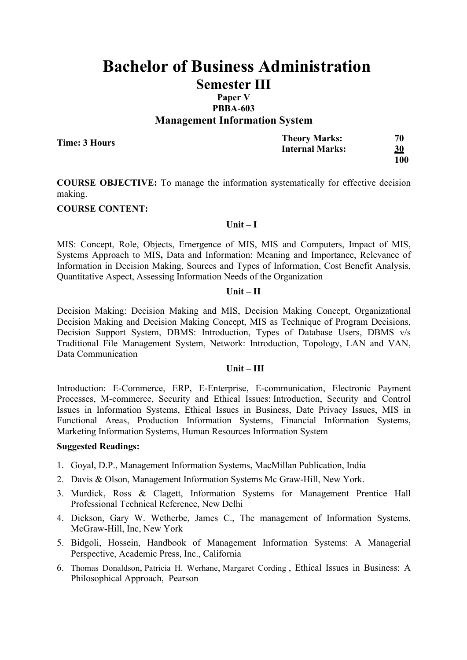# **Paper V PBBA-603 Management Information System**

**Time: 3 Hours**

| <b>Theory Marks:</b>   | 70        |
|------------------------|-----------|
| <b>Internal Marks:</b> | <b>30</b> |
|                        | 100       |

**COURSE OBJECTIVE:** To manage the information systematically for effective decision making.

### **COURSE CONTENT:**

#### **Unit – I**

MIS: Concept, Role, Objects, Emergence of MIS, MIS and Computers, Impact of MIS, Systems Approach to MIS**,** Data and Information: Meaning and Importance, Relevance of Information in Decision Making, Sources and Types of Information, Cost Benefit Analysis, Quantitative Aspect, Assessing Information Needs of the Organization

#### **Unit – II**

Decision Making: Decision Making and MIS, Decision Making Concept, Organizational Decision Making and Decision Making Concept, MIS as Technique of Program Decisions, Decision Support System, DBMS: Introduction, Types of Database Users, DBMS v/s Traditional File Management System, Network: Introduction, Topology, LAN and VAN, Data Communication

### **Unit – III**

Introduction: E-Commerce, ERP, E-Enterprise, E-communication, Electronic Payment Processes, M-commerce, Security and Ethical Issues: Introduction, Security and Control Issues in Information Systems, Ethical Issues in Business, Date Privacy Issues, MIS in Functional Areas, Production Information Systems, Financial Information Systems, Marketing Information Systems, Human Resources Information System

- 1. Goyal, D.P., Management Information Systems, MacMillan Publication, India
- 2. Davis & Olson, Management Information Systems Mc Graw-Hill, New York.
- 3. Murdick, Ross & Clagett, Information Systems for Management Prentice Hall Professional Technical Reference, New Delhi
- 4. Dickson, Gary W. Wetherbe, James C., The management of Information Systems, McGraw-Hill, Inc, New York
- 5. Bidgoli, Hossein, Handbook of Management Information Systems: A Managerial Perspective, Academic Press, Inc., California
- 6. Thomas Donaldson, Patricia H. Werhane, Margaret Cording , Ethical Issues in Business: A Philosophical Approach, Pearson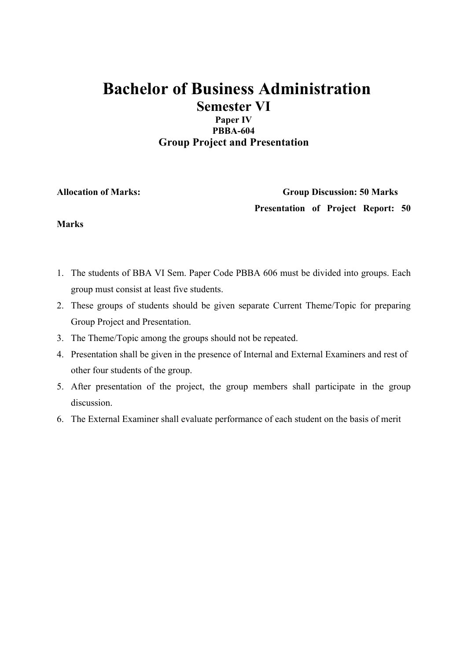# **Paper IV PBBA-604 Group Project and Presentation**

**Allocation of Marks: Group Discussion: 50 Marks Presentation of Project Report: 50** 

## **Marks**

- 1. The students of BBA VI Sem. Paper Code PBBA 606 must be divided into groups. Each group must consist at least five students.
- 2. These groups of students should be given separate Current Theme/Topic for preparing Group Project and Presentation.
- 3. The Theme/Topic among the groups should not be repeated.
- 4. Presentation shall be given in the presence of Internal and External Examiners and rest of other four students of the group.
- 5. After presentation of the project, the group members shall participate in the group discussion.
- 6. The External Examiner shall evaluate performance of each student on the basis of merit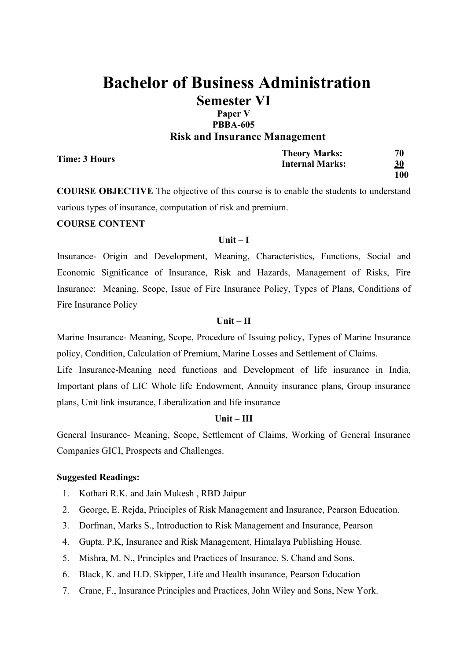### **Paper V PBBA-605 Risk and Insurance Management**

| Time: 3 Hours | <b>Theory Marks:</b><br><b>Internal Marks:</b> | 70<br><u>30</u> |
|---------------|------------------------------------------------|-----------------|
|               |                                                | 100             |

**COURSE OBJECTIVE** The objective of this course is to enable the students to understand various types of insurance, computation of risk and premium.

### **COURSE CONTENT**

### **Unit – I**

Insurance- Origin and Development, Meaning, Characteristics, Functions, Social and Economic Significance of Insurance, Risk and Hazards, Management of Risks, Fire Insurance: Meaning, Scope, Issue of Fire Insurance Policy, Types of Plans, Conditions of Fire Insurance Policy

### **Unit – II**

Marine Insurance- Meaning, Scope, Procedure of Issuing policy, Types of Marine Insurance policy, Condition, Calculation of Premium, Marine Losses and Settlement of Claims.

Life Insurance-Meaning need functions and Development of life insurance in India, Important plans of LIC Whole life Endowment, Annuity insurance plans, Group insurance plans, Unit link insurance, Liberalization and life insurance

### **Unit – III**

General Insurance- Meaning, Scope, Settlement of Claims, Working of General Insurance Companies GICI, Prospects and Challenges.

- 1. Kothari R.K. and Jain Mukesh , RBD Jaipur
- 2. George, E. Rejda, Principles of Risk Management and Insurance, Pearson Education.
- 3. Dorfman, Marks S., Introduction to Risk Management and Insurance, Pearson
- 4. Gupta. P.K, Insurance and Risk Management, Himalaya Publishing House.
- 5. Mishra, M. N., Principles and Practices of Insurance, S. Chand and Sons.
- 6. Black, K. and H.D. Skipper, Life and Health insurance, Pearson Education
- 7. Crane, F., Insurance Principles and Practices, John Wiley and Sons, New York.